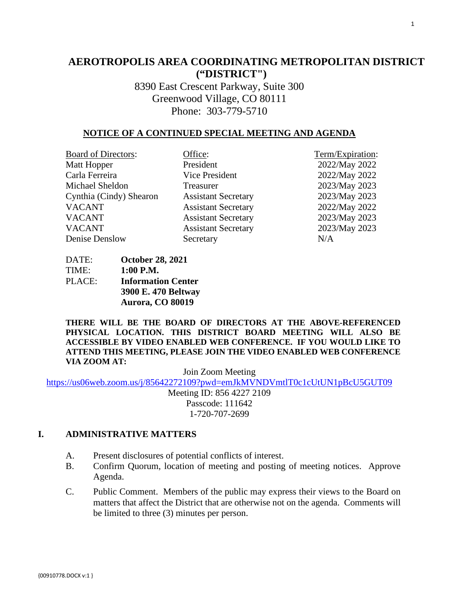# **AEROTROPOLIS AREA COORDINATING METROPOLITAN DISTRICT ("DISTRICT")**

8390 East Crescent Parkway, Suite 300 Greenwood Village, CO 80111 Phone: 303-779-5710

### **NOTICE OF A CONTINUED SPECIAL MEETING AND AGENDA**

| <b>Board of Directors:</b> | Office:                    | Term/Expiration: |
|----------------------------|----------------------------|------------------|
| Matt Hopper                | President                  | 2022/May 2022    |
| Carla Ferreira             | Vice President             | 2022/May 2022    |
| Michael Sheldon            | Treasurer                  | 2023/May 2023    |
| Cynthia (Cindy) Shearon    | <b>Assistant Secretary</b> | 2023/May 2023    |
| <b>VACANT</b>              | <b>Assistant Secretary</b> | 2022/May 2022    |
| <b>VACANT</b>              | <b>Assistant Secretary</b> | 2023/May 2023    |
| <b>VACANT</b>              | <b>Assistant Secretary</b> | 2023/May 2023    |
| Denise Denslow             | Secretary                  | N/A              |

DATE: **October 28, 2021** TIME: **1:00 P.M.** PLACE: **Information Center 3900 E. 470 Beltway Aurora, CO 80019** 

**THERE WILL BE THE BOARD OF DIRECTORS AT THE ABOVE-REFERENCED PHYSICAL LOCATION. THIS DISTRICT BOARD MEETING WILL ALSO BE ACCESSIBLE BY VIDEO ENABLED WEB CONFERENCE. IF YOU WOULD LIKE TO ATTEND THIS MEETING, PLEASE JOIN THE VIDEO ENABLED WEB CONFERENCE VIA ZOOM AT:**

Join Zoom Meeting

<https://us06web.zoom.us/j/85642272109?pwd=emJkMVNDVmtlT0c1cUtUN1pBcU5GUT09>

Meeting ID: 856 4227 2109 Passcode: 111642 1-720-707-2699

### **I. ADMINISTRATIVE MATTERS**

- A. Present disclosures of potential conflicts of interest.
- B. Confirm Quorum, location of meeting and posting of meeting notices. Approve Agenda.
- C. Public Comment. Members of the public may express their views to the Board on matters that affect the District that are otherwise not on the agenda. Comments will be limited to three (3) minutes per person.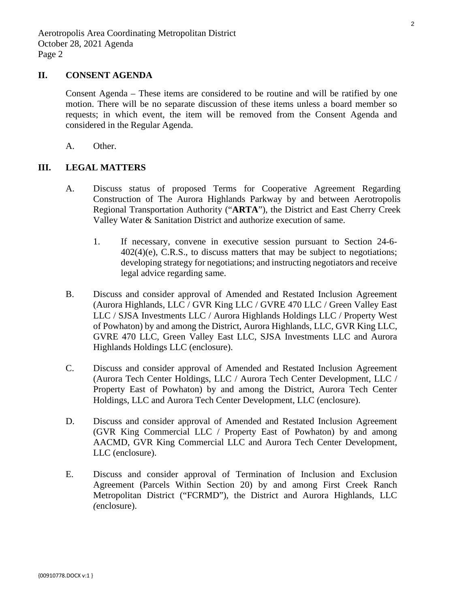### **II. CONSENT AGENDA**

Consent Agenda – These items are considered to be routine and will be ratified by one motion. There will be no separate discussion of these items unless a board member so requests; in which event, the item will be removed from the Consent Agenda and considered in the Regular Agenda.

A. Other.

### **III. LEGAL MATTERS**

- A. Discuss status of proposed Terms for Cooperative Agreement Regarding Construction of The Aurora Highlands Parkway by and between Aerotropolis Regional Transportation Authority ("**ARTA**"), the District and East Cherry Creek Valley Water & Sanitation District and authorize execution of same.
	- 1. If necessary, convene in executive session pursuant to Section 24-6-  $402(4)$ (e), C.R.S., to discuss matters that may be subject to negotiations; developing strategy for negotiations; and instructing negotiators and receive legal advice regarding same.
- B. Discuss and consider approval of Amended and Restated Inclusion Agreement [\(Aurora Highlands, LLC / GVR King LLC / GVRE 470 LLC / Green Valley East](#page-3-0)  LLC / SJSA Investments LLC / Aurora Highlands Holdings LLC / Property West of Powhaton) by and among the District, Aurora Highlands, LLC, GVR King LLC, GVRE 470 LLC, Green Valley East LLC, SJSA Investments LLC and Aurora Highlands Holdings LLC (enclosure).
- C. Discuss and consider approval of Amended and Restated Inclusion Agreement [\(Aurora Tech Center Holdings, LLC / Aurora Tech Center Development, LLC /](#page-26-0)  Property East of Powhaton) by and among the District, Aurora Tech Center Holdings, LLC and Aurora Tech Center Development, LLC (enclosure).
- D. Discuss and consider approval of Amended and Restated Inclusion Agreement (GVR King Commercial LLC / Property East of Powhaton) by and among [AACMD, GVR King Commercial LLC and Aurora Tech Center Development,](#page-41-0)  LLC (enclosure).
- E. [Discuss and consider approval of Termination of Inclusion and Exclusion](#page-54-0)  Agreement (Parcels Within Section 20) by and among First Creek Ranch Metropolitan District ("FCRMD"), the District and Aurora Highlands, LLC *(*enclosure).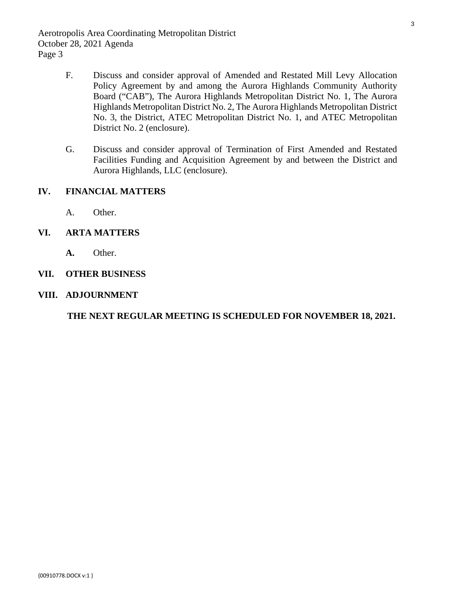- F. Discuss and consider approval of Amended and Restated Mill Levy Allocation [Policy Agreement by and among the Aurora Highlands Community Authority](#page-58-0)  Board ("CAB"), The Aurora Highlands Metropolitan District No. 1, The Aurora Highlands Metropolitan District No. 2, The Aurora Highlands Metropolitan District No. 3, the District, ATEC Metropolitan District No. 1, and ATEC Metropolitan District No. 2 (enclosure).
- G. Discuss and consider approval of Termination of First Amended and Restated [Facilities Funding and Acquisition Agreement by and between the District and](#page-72-0)  Aurora Highlands, LLC (enclosure).

## **IV. FINANCIAL MATTERS**

A. Other.

## **VI. ARTA MATTERS**

**A.** Other.

## **VII. OTHER BUSINESS**

**VIII. ADJOURNMENT**

**THE NEXT REGULAR MEETING IS SCHEDULED FOR NOVEMBER 18, 2021.**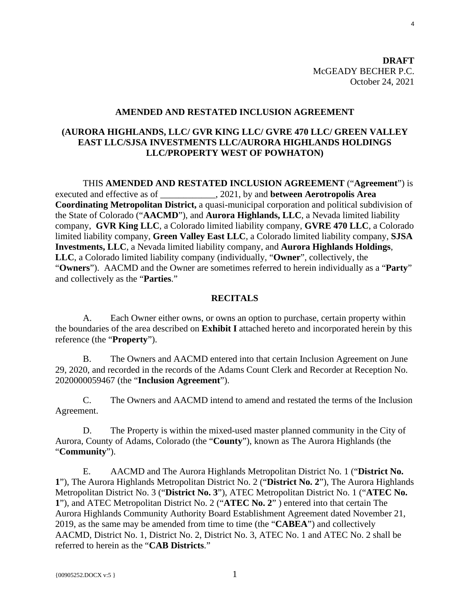**DRAFT** McGEADY BECHER P.C. October 24, 2021

#### **AMENDED AND RESTATED INCLUSION AGREEMENT**

## <span id="page-3-0"></span>**(AURORA HIGHLANDS, LLC/ GVR KING LLC/ GVRE 470 LLC/ GREEN VALLEY EAST LLC/SJSA INVESTMENTS LLC/AURORA HIGHLANDS HOLDINGS LLC/PROPERTY WEST OF POWHATON)**

THIS **AMENDED AND RESTATED INCLUSION AGREEMENT** ("**Agreement**") is executed and effective as of \_\_\_\_\_\_\_\_\_\_\_\_, 2021, by and **between Aerotropolis Area Coordinating Metropolitan District,** a quasi-municipal corporation and political subdivision of the State of Colorado ("**AACMD**"), and **Aurora Highlands, LLC**, a Nevada limited liability company, **GVR King LLC**, a Colorado limited liability company, **GVRE 470 LLC**, a Colorado limited liability company, **Green Valley East LLC**, a Colorado limited liability company, **SJSA Investments, LLC**, a Nevada limited liability company, and **Aurora Highlands Holdings**, **LLC**, a Colorado limited liability company (individually, "**Owner**", collectively, the "**Owners**"). AACMD and the Owner are sometimes referred to herein individually as a "**Party**" and collectively as the "**Parties**."

#### **RECITALS**

A. Each Owner either owns, or owns an option to purchase, certain property within the boundaries of the area described on **Exhibit I** attached hereto and incorporated herein by this reference (the "**Property**").

B. The Owners and AACMD entered into that certain Inclusion Agreement on June 29, 2020, and recorded in the records of the Adams Count Clerk and Recorder at Reception No. 2020000059467 (the "**Inclusion Agreement**").

C. The Owners and AACMD intend to amend and restated the terms of the Inclusion Agreement.

D. The Property is within the mixed-used master planned community in the City of Aurora, County of Adams, Colorado (the "**County**"), known as The Aurora Highlands (the "**Community**").

E. AACMD and The Aurora Highlands Metropolitan District No. 1 ("**District No. 1**"), The Aurora Highlands Metropolitan District No. 2 ("**District No. 2**"), The Aurora Highlands Metropolitan District No. 3 ("**District No. 3**"), ATEC Metropolitan District No. 1 ("**ATEC No. 1**"), and ATEC Metropolitan District No. 2 ("**ATEC No. 2**" ) entered into that certain The Aurora Highlands Community Authority Board Establishment Agreement dated November 21, 2019, as the same may be amended from time to time (the "**CABEA**") and collectively AACMD, District No. 1, District No. 2, District No. 3, ATEC No. 1 and ATEC No. 2 shall be referred to herein as the "**CAB Districts**."

4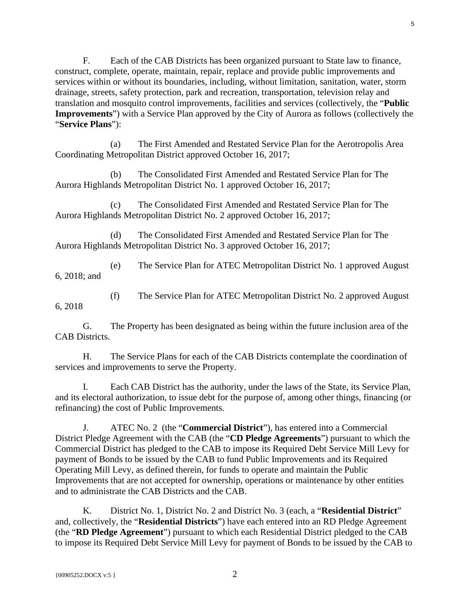F. Each of the CAB Districts has been organized pursuant to State law to finance, construct, complete, operate, maintain, repair, replace and provide public improvements and services within or without its boundaries, including, without limitation, sanitation, water, storm drainage, streets, safety protection, park and recreation, transportation, television relay and translation and mosquito control improvements, facilities and services (collectively, the "**Public Improvements**") with a Service Plan approved by the City of Aurora as follows (collectively the "**Service Plans**"):

(a) The First Amended and Restated Service Plan for the Aerotropolis Area Coordinating Metropolitan District approved October 16, 2017;

(b) The Consolidated First Amended and Restated Service Plan for The Aurora Highlands Metropolitan District No. 1 approved October 16, 2017;

(c) The Consolidated First Amended and Restated Service Plan for The Aurora Highlands Metropolitan District No. 2 approved October 16, 2017;

(d) The Consolidated First Amended and Restated Service Plan for The Aurora Highlands Metropolitan District No. 3 approved October 16, 2017;

(e) The Service Plan for ATEC Metropolitan District No. 1 approved August 6, 2018; and

(f) The Service Plan for ATEC Metropolitan District No. 2 approved August

G. The Property has been designated as being within the future inclusion area of the CAB Districts.

H. The Service Plans for each of the CAB Districts contemplate the coordination of services and improvements to serve the Property.

I. Each CAB District has the authority, under the laws of the State, its Service Plan, and its electoral authorization, to issue debt for the purpose of, among other things, financing (or refinancing) the cost of Public Improvements.

J. ATEC No. 2 (the "**Commercial District**"), has entered into a Commercial District Pledge Agreement with the CAB (the "**CD Pledge Agreements**") pursuant to which the Commercial District has pledged to the CAB to impose its Required Debt Service Mill Levy for payment of Bonds to be issued by the CAB to fund Public Improvements and its Required Operating Mill Levy, as defined therein, for funds to operate and maintain the Public Improvements that are not accepted for ownership, operations or maintenance by other entities and to administrate the CAB Districts and the CAB.

K. District No. 1, District No. 2 and District No. 3 (each, a "**Residential District**" and, collectively, the "**Residential Districts**") have each entered into an RD Pledge Agreement (the "**RD Pledge Agreement**") pursuant to which each Residential District pledged to the CAB to impose its Required Debt Service Mill Levy for payment of Bonds to be issued by the CAB to

6, 2018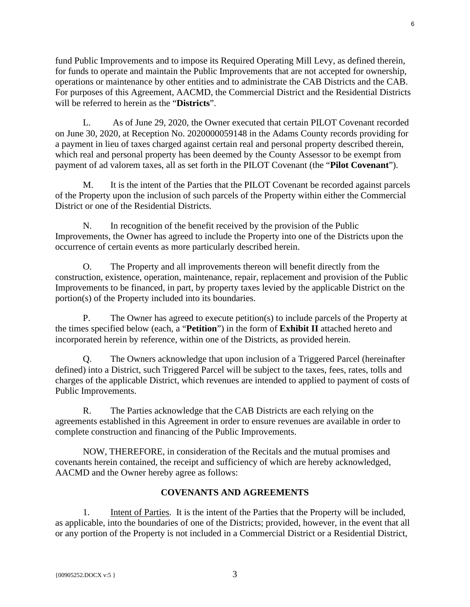fund Public Improvements and to impose its Required Operating Mill Levy, as defined therein, for funds to operate and maintain the Public Improvements that are not accepted for ownership, operations or maintenance by other entities and to administrate the CAB Districts and the CAB. For purposes of this Agreement, AACMD, the Commercial District and the Residential Districts will be referred to herein as the "**Districts**".

L. As of June 29, 2020, the Owner executed that certain PILOT Covenant recorded on June 30, 2020, at Reception No. 2020000059148 in the Adams County records providing for a payment in lieu of taxes charged against certain real and personal property described therein, which real and personal property has been deemed by the County Assessor to be exempt from payment of ad valorem taxes, all as set forth in the PILOT Covenant (the "**Pilot Covenant**").

M. It is the intent of the Parties that the PILOT Covenant be recorded against parcels of the Property upon the inclusion of such parcels of the Property within either the Commercial District or one of the Residential Districts.

N. In recognition of the benefit received by the provision of the Public Improvements, the Owner has agreed to include the Property into one of the Districts upon the occurrence of certain events as more particularly described herein.

O. The Property and all improvements thereon will benefit directly from the construction, existence, operation, maintenance, repair, replacement and provision of the Public Improvements to be financed, in part, by property taxes levied by the applicable District on the portion(s) of the Property included into its boundaries.

P. The Owner has agreed to execute petition(s) to include parcels of the Property at the times specified below (each, a "**Petition**") in the form of **Exhibit II** attached hereto and incorporated herein by reference, within one of the Districts, as provided herein.

Q. The Owners acknowledge that upon inclusion of a Triggered Parcel (hereinafter defined) into a District, such Triggered Parcel will be subject to the taxes, fees, rates, tolls and charges of the applicable District, which revenues are intended to applied to payment of costs of Public Improvements.

R. The Parties acknowledge that the CAB Districts are each relying on the agreements established in this Agreement in order to ensure revenues are available in order to complete construction and financing of the Public Improvements.

NOW, THEREFORE, in consideration of the Recitals and the mutual promises and covenants herein contained, the receipt and sufficiency of which are hereby acknowledged, AACMD and the Owner hereby agree as follows:

# **COVENANTS AND AGREEMENTS**

1. Intent of Parties. It is the intent of the Parties that the Property will be included, as applicable, into the boundaries of one of the Districts; provided, however, in the event that all or any portion of the Property is not included in a Commercial District or a Residential District,

6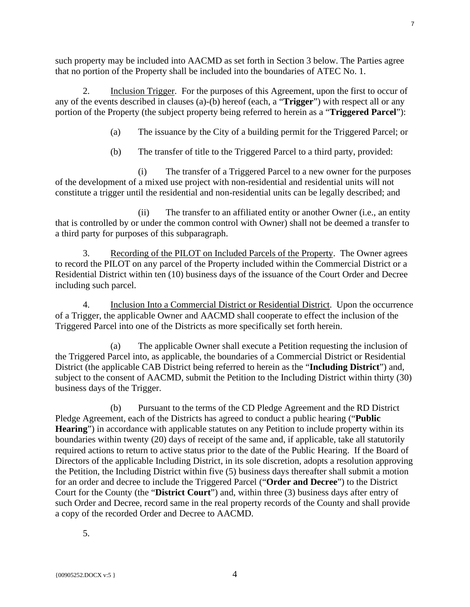such property may be included into AACMD as set forth in Section 3 below. The Parties agree that no portion of the Property shall be included into the boundaries of ATEC No. 1.

2. Inclusion Trigger. For the purposes of this Agreement, upon the first to occur of any of the events described in clauses (a)-(b) hereof (each, a "**Trigger**") with respect all or any portion of the Property (the subject property being referred to herein as a "**Triggered Parcel**"):

(a) The issuance by the City of a building permit for the Triggered Parcel; or

(b) The transfer of title to the Triggered Parcel to a third party, provided:

(i) The transfer of a Triggered Parcel to a new owner for the purposes of the development of a mixed use project with non-residential and residential units will not constitute a trigger until the residential and non-residential units can be legally described; and

(ii) The transfer to an affiliated entity or another Owner (i.e., an entity that is controlled by or under the common control with Owner) shall not be deemed a transfer to a third party for purposes of this subparagraph.

3. Recording of the PILOT on Included Parcels of the Property. The Owner agrees to record the PILOT on any parcel of the Property included within the Commercial District or a Residential District within ten (10) business days of the issuance of the Court Order and Decree including such parcel.

4. Inclusion Into a Commercial District or Residential District. Upon the occurrence of a Trigger, the applicable Owner and AACMD shall cooperate to effect the inclusion of the Triggered Parcel into one of the Districts as more specifically set forth herein.

(a) The applicable Owner shall execute a Petition requesting the inclusion of the Triggered Parcel into, as applicable, the boundaries of a Commercial District or Residential District (the applicable CAB District being referred to herein as the "**Including District**") and, subject to the consent of AACMD, submit the Petition to the Including District within thirty (30) business days of the Trigger.

(b) Pursuant to the terms of the CD Pledge Agreement and the RD District Pledge Agreement, each of the Districts has agreed to conduct a public hearing ("**Public**  Hearing") in accordance with applicable statutes on any Petition to include property within its boundaries within twenty (20) days of receipt of the same and, if applicable, take all statutorily required actions to return to active status prior to the date of the Public Hearing. If the Board of Directors of the applicable Including District, in its sole discretion, adopts a resolution approving the Petition, the Including District within five (5) business days thereafter shall submit a motion for an order and decree to include the Triggered Parcel ("**Order and Decree**") to the District Court for the County (the "**District Court**") and, within three (3) business days after entry of such Order and Decree, record same in the real property records of the County and shall provide a copy of the recorded Order and Decree to AACMD.

5.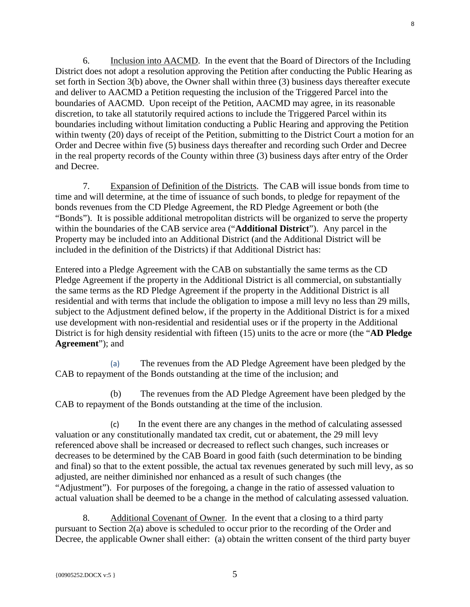6. Inclusion into AACMD. In the event that the Board of Directors of the Including District does not adopt a resolution approving the Petition after conducting the Public Hearing as set forth in Section 3(b) above, the Owner shall within three (3) business days thereafter execute and deliver to AACMD a Petition requesting the inclusion of the Triggered Parcel into the boundaries of AACMD. Upon receipt of the Petition, AACMD may agree, in its reasonable discretion, to take all statutorily required actions to include the Triggered Parcel within its boundaries including without limitation conducting a Public Hearing and approving the Petition within twenty (20) days of receipt of the Petition, submitting to the District Court a motion for an Order and Decree within five (5) business days thereafter and recording such Order and Decree in the real property records of the County within three (3) business days after entry of the Order and Decree.

7. Expansion of Definition of the Districts. The CAB will issue bonds from time to time and will determine, at the time of issuance of such bonds, to pledge for repayment of the bonds revenues from the CD Pledge Agreement, the RD Pledge Agreement or both (the "Bonds"). It is possible additional metropolitan districts will be organized to serve the property within the boundaries of the CAB service area ("**Additional District**"). Any parcel in the Property may be included into an Additional District (and the Additional District will be included in the definition of the Districts) if that Additional District has:

Entered into a Pledge Agreement with the CAB on substantially the same terms as the CD Pledge Agreement if the property in the Additional District is all commercial, on substantially the same terms as the RD Pledge Agreement if the property in the Additional District is all residential and with terms that include the obligation to impose a mill levy no less than 29 mills, subject to the Adjustment defined below, if the property in the Additional District is for a mixed use development with non-residential and residential uses or if the property in the Additional District is for high density residential with fifteen (15) units to the acre or more (the "**AD Pledge Agreement**"); and

(a) The revenues from the AD Pledge Agreement have been pledged by the CAB to repayment of the Bonds outstanding at the time of the inclusion; and

(b) The revenues from the AD Pledge Agreement have been pledged by the CAB to repayment of the Bonds outstanding at the time of the inclusion.

(c) In the event there are any changes in the method of calculating assessed valuation or any constitutionally mandated tax credit, cut or abatement, the 29 mill levy referenced above shall be increased or decreased to reflect such changes, such increases or decreases to be determined by the CAB Board in good faith (such determination to be binding and final) so that to the extent possible, the actual tax revenues generated by such mill levy, as so adjusted, are neither diminished nor enhanced as a result of such changes (the "Adjustment"). For purposes of the foregoing, a change in the ratio of assessed valuation to actual valuation shall be deemed to be a change in the method of calculating assessed valuation.

8. Additional Covenant of Owner. In the event that a closing to a third party pursuant to Section 2(a) above is scheduled to occur prior to the recording of the Order and Decree, the applicable Owner shall either: (a) obtain the written consent of the third party buyer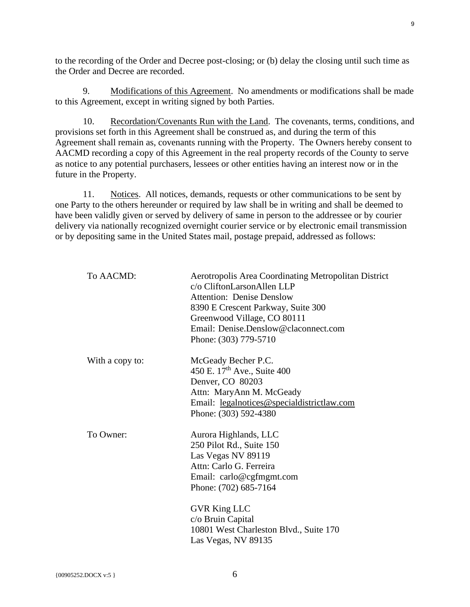to the recording of the Order and Decree post-closing; or (b) delay the closing until such time as the Order and Decree are recorded.

9. Modifications of this Agreement. No amendments or modifications shall be made to this Agreement, except in writing signed by both Parties.

10. Recordation/Covenants Run with the Land. The covenants, terms, conditions, and provisions set forth in this Agreement shall be construed as, and during the term of this Agreement shall remain as, covenants running with the Property. The Owners hereby consent to AACMD recording a copy of this Agreement in the real property records of the County to serve as notice to any potential purchasers, lessees or other entities having an interest now or in the future in the Property.

11. Notices. All notices, demands, requests or other communications to be sent by one Party to the others hereunder or required by law shall be in writing and shall be deemed to have been validly given or served by delivery of same in person to the addressee or by courier delivery via nationally recognized overnight courier service or by electronic email transmission or by depositing same in the United States mail, postage prepaid, addressed as follows:

| To AACMD:       | Aerotropolis Area Coordinating Metropolitan District<br>c/o CliftonLarsonAllen LLP<br><b>Attention: Denise Denslow</b><br>8390 E Crescent Parkway, Suite 300<br>Greenwood Village, CO 80111<br>Email: Denise.Denslow@claconnect.com<br>Phone: (303) 779-5710         |
|-----------------|----------------------------------------------------------------------------------------------------------------------------------------------------------------------------------------------------------------------------------------------------------------------|
| With a copy to: | McGeady Becher P.C.<br>450 E. 17 <sup>th</sup> Ave., Suite 400<br>Denver, CO 80203<br>Attn: MaryAnn M. McGeady<br>Email: legalnotices@specialdistrictlaw.com<br>Phone: (303) 592-4380                                                                                |
| To Owner:       | Aurora Highlands, LLC<br>250 Pilot Rd., Suite 150<br>Las Vegas NV 89119<br>Attn: Carlo G. Ferreira<br>Email: carlo@cgfmgmt.com<br>Phone: (702) 685-7164<br><b>GVR King LLC</b><br>c/o Bruin Capital<br>10801 West Charleston Blvd., Suite 170<br>Las Vegas, NV 89135 |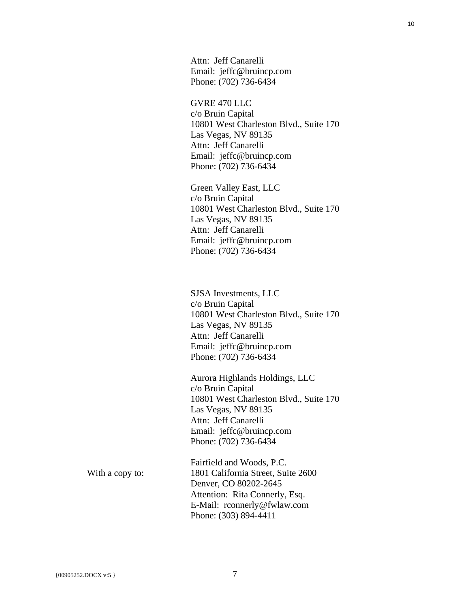Attn: Jeff Canarelli Email: jeffc@bruincp.com Phone: (702) 736-6434

#### GVRE 470 LLC

c/o Bruin Capital 10801 West Charleston Blvd., Suite 170 Las Vegas, NV 89135 Attn: Jeff Canarelli Email: jeffc@bruincp.com Phone: (702) 736-6434

Green Valley East, LLC c/o Bruin Capital 10801 West Charleston Blvd., Suite 170 Las Vegas, NV 89135 Attn: Jeff Canarelli Email: jeffc@bruincp.com Phone: (702) 736-6434

SJSA Investments, LLC c/o Bruin Capital 10801 West Charleston Blvd., Suite 170 Las Vegas, NV 89135 Attn: Jeff Canarelli Email: jeffc@bruincp.com Phone: (702) 736-6434

Aurora Highlands Holdings, LLC c/o Bruin Capital 10801 West Charleston Blvd., Suite 170 Las Vegas, NV 89135 Attn: Jeff Canarelli Email: jeffc@bruincp.com Phone: (702) 736-6434

With a copy to:

Fairfield and Woods, P.C. 1801 California Street, Suite 2600 Denver, CO 80202-2645 Attention: Rita Connerly, Esq. E-Mail: rconnerly@fwlaw.com Phone: (303) 894-4411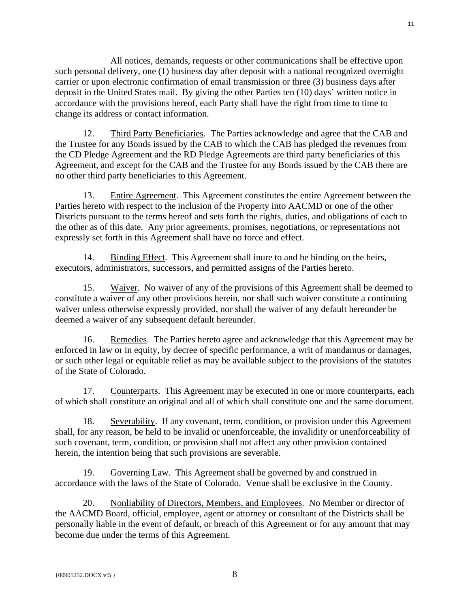All notices, demands, requests or other communications shall be effective upon such personal delivery, one (1) business day after deposit with a national recognized overnight carrier or upon electronic confirmation of email transmission or three (3) business days after deposit in the United States mail. By giving the other Parties ten (10) days' written notice in accordance with the provisions hereof, each Party shall have the right from time to time to change its address or contact information.

12. Third Party Beneficiaries. The Parties acknowledge and agree that the CAB and the Trustee for any Bonds issued by the CAB to which the CAB has pledged the revenues from the CD Pledge Agreement and the RD Pledge Agreements are third party beneficiaries of this Agreement, and except for the CAB and the Trustee for any Bonds issued by the CAB there are no other third party beneficiaries to this Agreement.

13. Entire Agreement. This Agreement constitutes the entire Agreement between the Parties hereto with respect to the inclusion of the Property into AACMD or one of the other Districts pursuant to the terms hereof and sets forth the rights, duties, and obligations of each to the other as of this date. Any prior agreements, promises, negotiations, or representations not expressly set forth in this Agreement shall have no force and effect.

14. Binding Effect. This Agreement shall inure to and be binding on the heirs, executors, administrators, successors, and permitted assigns of the Parties hereto.

15. Waiver. No waiver of any of the provisions of this Agreement shall be deemed to constitute a waiver of any other provisions herein, nor shall such waiver constitute a continuing waiver unless otherwise expressly provided, nor shall the waiver of any default hereunder be deemed a waiver of any subsequent default hereunder.

16. Remedies. The Parties hereto agree and acknowledge that this Agreement may be enforced in law or in equity, by decree of specific performance, a writ of mandamus or damages, or such other legal or equitable relief as may be available subject to the provisions of the statutes of the State of Colorado.

17. Counterparts. This Agreement may be executed in one or more counterparts, each of which shall constitute an original and all of which shall constitute one and the same document.

18. Severability. If any covenant, term, condition, or provision under this Agreement shall, for any reason, be held to be invalid or unenforceable, the invalidity or unenforceability of such covenant, term, condition, or provision shall not affect any other provision contained herein, the intention being that such provisions are severable.

19. Governing Law. This Agreement shall be governed by and construed in accordance with the laws of the State of Colorado. Venue shall be exclusive in the County.

20. Nonliability of Directors, Members, and Employees. No Member or director of the AACMD Board, official, employee, agent or attorney or consultant of the Districts shall be personally liable in the event of default, or breach of this Agreement or for any amount that may become due under the terms of this Agreement.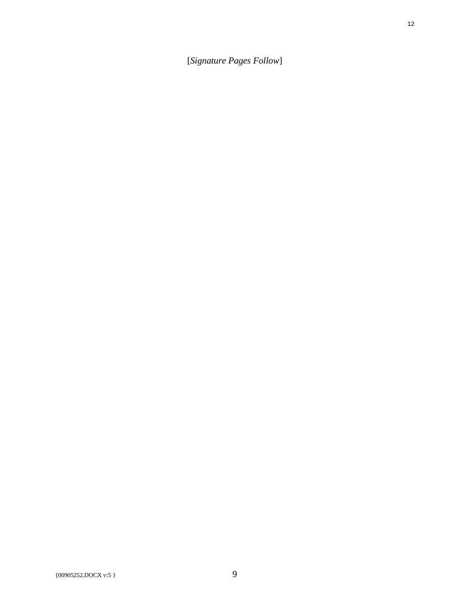[*Signature Pages Follow*]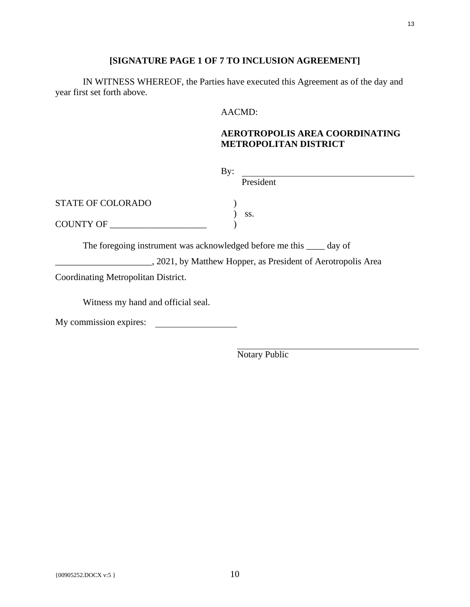## **[SIGNATURE PAGE 1 OF 7 TO INCLUSION AGREEMENT]**

IN WITNESS WHEREOF, the Parties have executed this Agreement as of the day and year first set forth above.

### AACMD:

# **AEROTROPOLIS AREA COORDINATING METROPOLITAN DISTRICT**

| By:                                                                   |           |
|-----------------------------------------------------------------------|-----------|
|                                                                       | President |
| <b>STATE OF COLORADO</b>                                              | SS.       |
| COUNTY OF                                                             |           |
| The foregoing instrument was acknowledged before me this _____ day of |           |

2021, by Matthew Hopper, as President of Aerotropolis Area

Coordinating Metropolitan District.

Witness my hand and official seal.

My commission expires: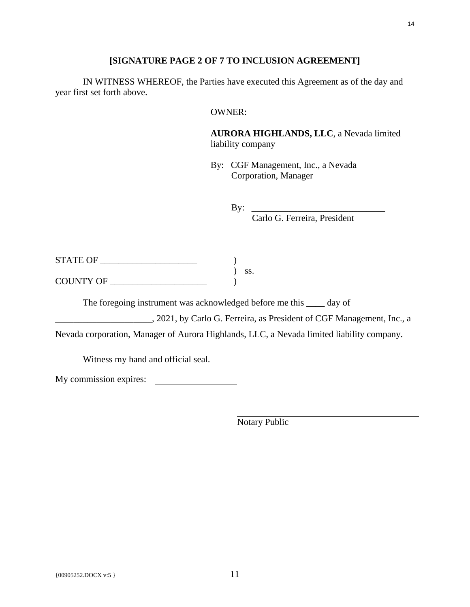### **[SIGNATURE PAGE 2 OF 7 TO INCLUSION AGREEMENT]**

IN WITNESS WHEREOF, the Parties have executed this Agreement as of the day and year first set forth above.

### OWNER:

**AURORA HIGHLANDS, LLC**, a Nevada limited liability company

By: CGF Management, Inc., a Nevada Corporation, Manager

By: \_\_\_\_\_\_\_\_\_\_\_\_\_\_\_\_\_\_\_\_\_\_\_\_\_\_\_\_\_

Carlo G. Ferreira, President

| <b>STATE OF</b>  |     |
|------------------|-----|
|                  | SS. |
| <b>COUNTY OF</b> |     |

The foregoing instrument was acknowledged before me this \_\_\_\_ day of

\_\_\_\_\_\_\_\_\_\_\_\_\_\_\_\_\_\_\_\_\_, 2021, by Carlo G. Ferreira, as President of CGF Management, Inc., a

Nevada corporation, Manager of Aurora Highlands, LLC, a Nevada limited liability company.

Witness my hand and official seal.

My commission expires: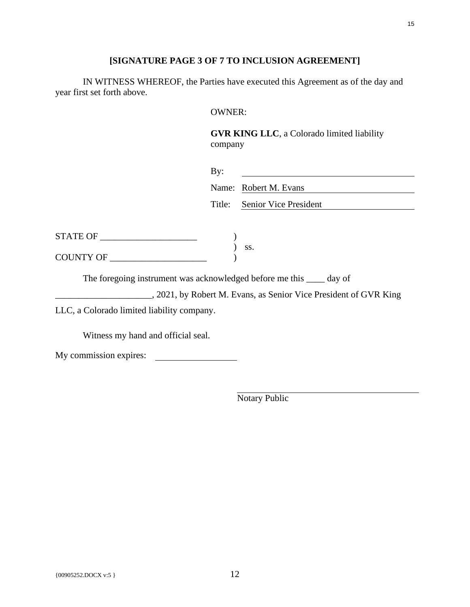# **[SIGNATURE PAGE 3 OF 7 TO INCLUSION AGREEMENT]**

IN WITNESS WHEREOF, the Parties have executed this Agreement as of the day and year first set forth above.

### OWNER:

**GVR KING LLC**, a Colorado limited liability company

|                                                                       | By:    |                                                                   |
|-----------------------------------------------------------------------|--------|-------------------------------------------------------------------|
|                                                                       |        | Name: Robert M. Evans                                             |
|                                                                       | Title: | Senior Vice President                                             |
|                                                                       |        |                                                                   |
|                                                                       |        |                                                                   |
|                                                                       |        |                                                                   |
| The foregoing instrument was acknowledged before me this _____ day of |        |                                                                   |
|                                                                       |        | ., 2021, by Robert M. Evans, as Senior Vice President of GVR King |
| LLC, a Colorado limited liability company.                            |        |                                                                   |

Witness my hand and official seal.

| My commission expires: |  |
|------------------------|--|
|                        |  |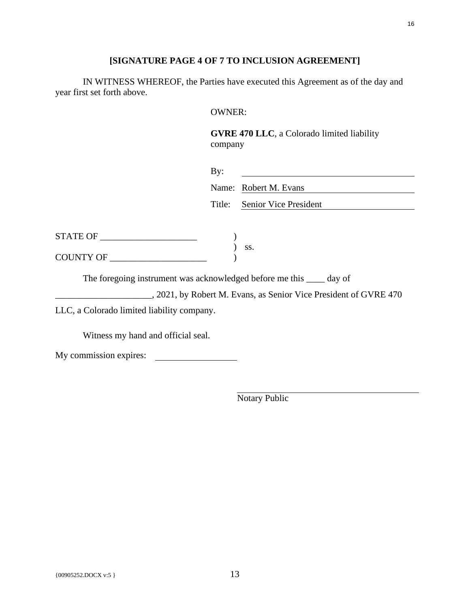# **[SIGNATURE PAGE 4 OF 7 TO INCLUSION AGREEMENT]**

IN WITNESS WHEREOF, the Parties have executed this Agreement as of the day and year first set forth above.

### OWNER:

**GVRE 470 LLC**, a Colorado limited liability company

|                                                                                                                                                                                                        | By:    |                                                                   |
|--------------------------------------------------------------------------------------------------------------------------------------------------------------------------------------------------------|--------|-------------------------------------------------------------------|
|                                                                                                                                                                                                        |        | Name: Robert M. Evans                                             |
|                                                                                                                                                                                                        | Title: | <b>Senior Vice President</b>                                      |
|                                                                                                                                                                                                        |        |                                                                   |
|                                                                                                                                                                                                        |        |                                                                   |
| $\begin{tabular}{ll} \textbf{STATE OF} & \textcolor{red}{\textbf{0}} & \textcolor{red}{\textbf{0}} \\ \textbf{COUNTY OF} & \textcolor{red}{\textbf{0}} & \textcolor{red}{\textbf{0}} \\ \end{tabular}$ |        |                                                                   |
| The foregoing instrument was acknowledged before me this <u>equal</u> day of                                                                                                                           |        |                                                                   |
|                                                                                                                                                                                                        |        | ., 2021, by Robert M. Evans, as Senior Vice President of GVRE 470 |
| LLC, a Colorado limited liability company.                                                                                                                                                             |        |                                                                   |

Witness my hand and official seal.

| My commission expires: |  |
|------------------------|--|
|                        |  |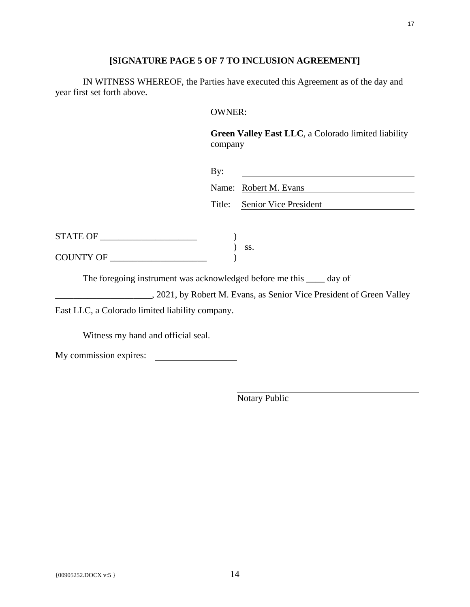# **[SIGNATURE PAGE 5 OF 7 TO INCLUSION AGREEMENT]**

IN WITNESS WHEREOF, the Parties have executed this Agreement as of the day and year first set forth above.

### OWNER:

**Green Valley East LLC**, a Colorado limited liability company

|                                                                              | By:    |                                                                       |
|------------------------------------------------------------------------------|--------|-----------------------------------------------------------------------|
|                                                                              |        | Name: Robert M. Evans                                                 |
|                                                                              | Title: | Senior Vice President                                                 |
|                                                                              |        |                                                                       |
|                                                                              |        |                                                                       |
| COUNTY OF                                                                    |        | SS.                                                                   |
| The foregoing instrument was acknowledged before me this <u>equal</u> day of |        |                                                                       |
|                                                                              |        | ., 2021, by Robert M. Evans, as Senior Vice President of Green Valley |

East LLC, a Colorado limited liability company.

Witness my hand and official seal.

| My commission expires: |  |
|------------------------|--|
|                        |  |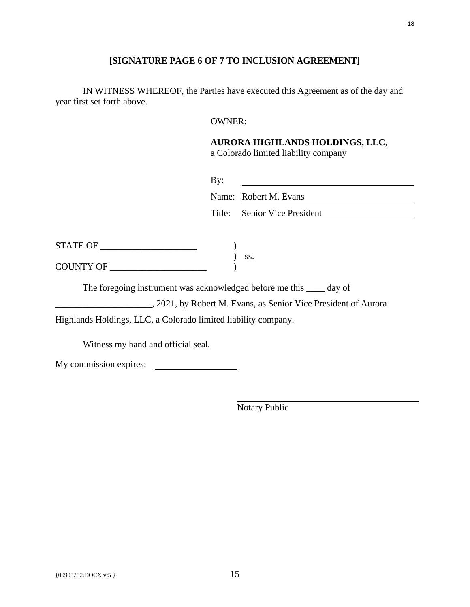# **[SIGNATURE PAGE 6 OF 7 TO INCLUSION AGREEMENT]**

IN WITNESS WHEREOF, the Parties have executed this Agreement as of the day and year first set forth above.

### OWNER:

### **AURORA HIGHLANDS HOLDINGS, LLC**, a Colorado limited liability company

|                                                                                                                                                                                                        | By:    | Name: Robert M. Evans                                           |
|--------------------------------------------------------------------------------------------------------------------------------------------------------------------------------------------------------|--------|-----------------------------------------------------------------|
|                                                                                                                                                                                                        | Title: | Senior Vice President                                           |
| $\begin{tabular}{ll} \textbf{STATE OF} & \textcolor{red}{\textbf{0}} & \textcolor{red}{\textbf{0}} \\ \textbf{COUNTY OF} & \textcolor{red}{\textbf{0}} & \textcolor{red}{\textbf{0}} \\ \end{tabular}$ |        |                                                                 |
| The foregoing instrument was acknowledged before me this _____ day of                                                                                                                                  |        | ., 2021, by Robert M. Evans, as Senior Vice President of Aurora |

Highlands Holdings, LLC, a Colorado limited liability company.

Witness my hand and official seal.

My commission expires: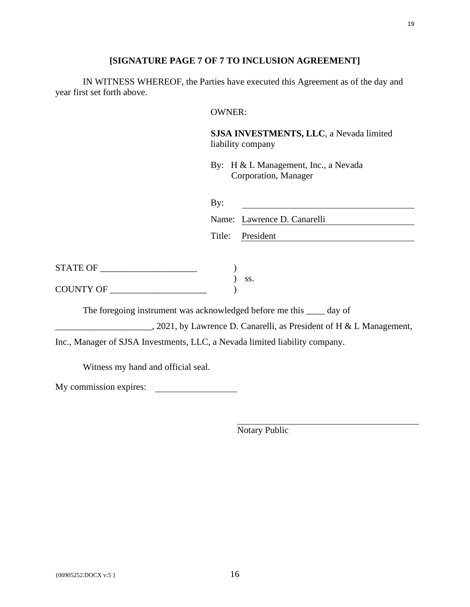## **[SIGNATURE PAGE 7 OF 7 TO INCLUSION AGREEMENT]**

IN WITNESS WHEREOF, the Parties have executed this Agreement as of the day and year first set forth above.

### OWNER:

**SJSA INVESTMENTS, LLC**, a Nevada limited liability company

By: H & L Management, Inc., a Nevada Corporation, Manager

| By: |                             |
|-----|-----------------------------|
|     | Name: Lawrence D. Canarelli |
|     | Title: President            |

| STATE OF         |  |
|------------------|--|
|                  |  |
| <b>COUNTY OF</b> |  |

The foregoing instrument was acknowledged before me this \_\_\_\_ day of

2021, by Lawrence D. Canarelli, as President of H & L Management,

) ss.

Inc., Manager of SJSA Investments, LLC, a Nevada limited liability company.

Witness my hand and official seal.

My commission expires: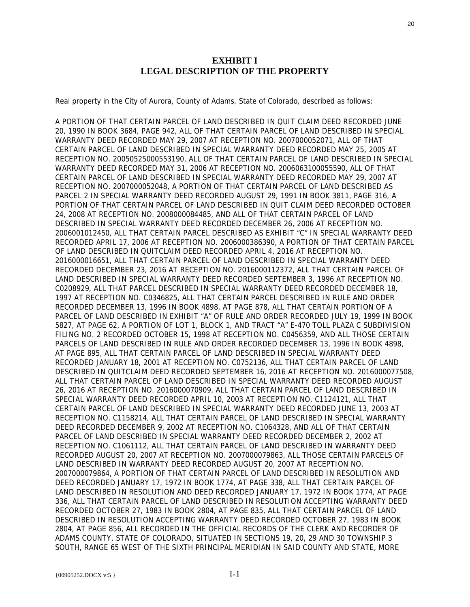### **EXHIBIT I LEGAL DESCRIPTION OF THE PROPERTY**

Real property in the City of Aurora, County of Adams, State of Colorado, described as follows:

A PORTION OF THAT CERTAIN PARCEL OF LAND DESCRIBED IN QUIT CLAIM DEED RECORDED JUNE 20, 1990 IN BOOK 3684, PAGE 942, ALL OF THAT CERTAIN PARCEL OF LAND DESCRIBED IN SPECIAL WARRANTY DEED RECORDED MAY 29, 2007 AT RECEPTION NO. 2007000052071, ALL OF THAT CERTAIN PARCEL OF LAND DESCRIBED IN SPECIAL WARRANTY DEED RECORDED MAY 25, 2005 AT RECEPTION NO. 20050525000553190, ALL OF THAT CERTAIN PARCEL OF LAND DESCRIBED IN SPECIAL WARRANTY DEED RECORDED MAY 31, 2006 AT RECEPTION NO. 2006063100055590, ALL OF THAT CERTAIN PARCEL OF LAND DESCRIBED IN SPECIAL WARRANTY DEED RECORDED MAY 29, 2007 AT RECEPTION NO. 2007000052048, A PORTION OF THAT CERTAIN PARCEL OF LAND DESCRIBED AS PARCEL 2 IN SPECIAL WARRANTY DEED RECORDED AUGUST 29, 1991 IN BOOK 3811, PAGE 316, A PORTION OF THAT CERTAIN PARCEL OF LAND DESCRIBED IN QUIT CLAIM DEED RECORDED OCTOBER 24, 2008 AT RECEPTION NO. 2008000084485, AND ALL OF THAT CERTAIN PARCEL OF LAND DESCRIBED IN SPECIAL WARRANTY DEED RECORDED DECEMBER 26, 2006 AT RECEPTION NO. 2006001012450, ALL THAT CERTAIN PARCEL DESCRIBED AS EXHIBIT "C" IN SPECIAL WARRANTY DEED RECORDED APRIL 17, 2006 AT RECEPTION NO. 2006000386390, A PORTION OF THAT CERTAIN PARCEL OF LAND DESCRIBED IN QUITCLAIM DEED RECORDED APRIL 4, 2016 AT RECEPTION NO. 2016000016651, ALL THAT CERTAIN PARCEL OF LAND DESCRIBED IN SPECIAL WARRANTY DEED RECORDED DECEMBER 23, 2016 AT RECEPTION NO. 2016000112372, ALL THAT CERTAIN PARCEL OF LAND DESCRIBED IN SPECIAL WARRANTY DEED RECORDED SEPTEMBER 3, 1996 AT RECEPTION NO. C0208929, ALL THAT PARCEL DESCRIBED IN SPECIAL WARRANTY DEED RECORDED DECEMBER 18, 1997 AT RECEPTION NO. C0346825, ALL THAT CERTAIN PARCEL DESCRIBED IN RULE AND ORDER RECORDED DECEMBER 13, 1996 IN BOOK 4898, AT PAGE 878, ALL THAT CERTAIN PORTION OF A PARCEL OF LAND DESCRIBED IN EXHIBIT "A" OF RULE AND ORDER RECORDED JULY 19, 1999 IN BOOK 5827, AT PAGE 62, A PORTION OF LOT 1, BLOCK 1, AND TRACT "A" E-470 TOLL PLAZA C SUBDIVISION FILING NO. 2 RECORDED OCTOBER 15, 1998 AT RECEPTION NO. C0456359, AND ALL THOSE CERTAIN PARCELS OF LAND DESCRIBED IN RULE AND ORDER RECORDED DECEMBER 13, 1996 IN BOOK 4898, AT PAGE 895, ALL THAT CERTAIN PARCEL OF LAND DESCRIBED IN SPECIAL WARRANTY DEED RECORDED JANUARY 18, 2001 AT RECEPTION NO. C0752136, ALL THAT CERTAIN PARCEL OF LAND DESCRIBED IN QUITCLAIM DEED RECORDED SEPTEMBER 16, 2016 AT RECEPTION NO. 2016000077508, ALL THAT CERTAIN PARCEL OF LAND DESCRIBED IN SPECIAL WARRANTY DEED RECORDED AUGUST 26, 2016 AT RECEPTION NO. 2016000070909, ALL THAT CERTAIN PARCEL OF LAND DESCRIBED IN SPECIAL WARRANTY DEED RECORDED APRIL 10, 2003 AT RECEPTION NO. C1124121, ALL THAT CERTAIN PARCEL OF LAND DESCRIBED IN SPECIAL WARRANTY DEED RECORDED JUNE 13, 2003 AT RECEPTION NO. C1158214, ALL THAT CERTAIN PARCEL OF LAND DESCRIBED IN SPECIAL WARRANTY DEED RECORDED DECEMBER 9, 2002 AT RECEPTION NO. C1064328, AND ALL OF THAT CERTAIN PARCEL OF LAND DESCRIBED IN SPECIAL WARRANTY DEED RECORDED DECEMBER 2, 2002 AT RECEPTION NO. C1061112, ALL THAT CERTAIN PARCEL OF LAND DESCRIBED IN WARRANTY DEED RECORDED AUGUST 20, 2007 AT RECEPTION NO. 2007000079863, ALL THOSE CERTAIN PARCELS OF LAND DESCRIBED IN WARRANTY DEED RECORDED AUGUST 20, 2007 AT RECEPTION NO. 2007000079864, A PORTION OF THAT CERTAIN PARCEL OF LAND DESCRIBED IN RESOLUTION AND DEED RECORDED JANUARY 17, 1972 IN BOOK 1774, AT PAGE 338, ALL THAT CERTAIN PARCEL OF LAND DESCRIBED IN RESOLUTION AND DEED RECORDED JANUARY 17, 1972 IN BOOK 1774, AT PAGE 336, ALL THAT CERTAIN PARCEL OF LAND DESCRIBED IN RESOLUTION ACCEPTING WARRANTY DEED RECORDED OCTOBER 27, 1983 IN BOOK 2804, AT PAGE 835, ALL THAT CERTAIN PARCEL OF LAND DESCRIBED IN RESOLUTION ACCEPTING WARRANTY DEED RECORDED OCTOBER 27, 1983 IN BOOK 2804, AT PAGE 856, ALL RECORDED IN THE OFFICIAL RECORDS OF THE CLERK AND RECORDER OF ADAMS COUNTY, STATE OF COLORADO, SITUATED IN SECTIONS 19, 20, 29 AND 30 TOWNSHIP 3 SOUTH, RANGE 65 WEST OF THE SIXTH PRINCIPAL MERIDIAN IN SAID COUNTY AND STATE, MORE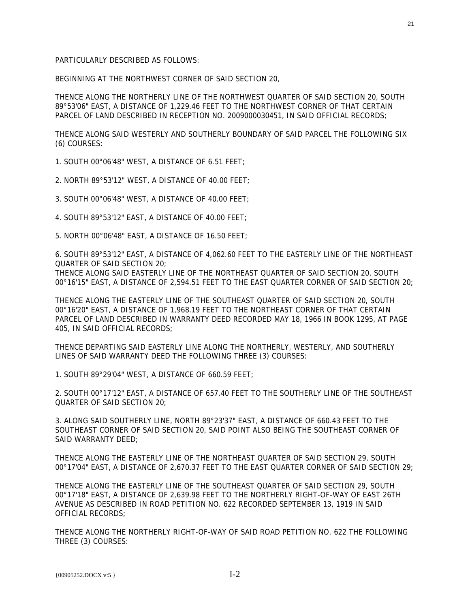BEGINNING AT THE NORTHWEST CORNER OF SAID SECTION 20,

THENCE ALONG THE NORTHERLY LINE OF THE NORTHWEST QUARTER OF SAID SECTION 20, SOUTH 89°53'06" EAST, A DISTANCE OF 1,229.46 FEET TO THE NORTHWEST CORNER OF THAT CERTAIN PARCEL OF LAND DESCRIBED IN RECEPTION NO. 2009000030451, IN SAID OFFICIAL RECORDS;

THENCE ALONG SAID WESTERLY AND SOUTHERLY BOUNDARY OF SAID PARCEL THE FOLLOWING SIX (6) COURSES:

1. SOUTH 00°06'48" WEST, A DISTANCE OF 6.51 FEET;

2. NORTH 89°53'12" WEST, A DISTANCE OF 40.00 FEET;

3. SOUTH 00°06'48" WEST, A DISTANCE OF 40.00 FEET;

4. SOUTH 89°53'12" EAST, A DISTANCE OF 40.00 FEET;

5. NORTH 00°06'48" EAST, A DISTANCE OF 16.50 FEET;

6. SOUTH 89°53'12" EAST, A DISTANCE OF 4,062.60 FEET TO THE EASTERLY LINE OF THE NORTHEAST QUARTER OF SAID SECTION 20;

THENCE ALONG SAID EASTERLY LINE OF THE NORTHEAST QUARTER OF SAID SECTION 20, SOUTH 00°16'15" EAST, A DISTANCE OF 2,594.51 FEET TO THE EAST QUARTER CORNER OF SAID SECTION 20;

THENCE ALONG THE EASTERLY LINE OF THE SOUTHEAST QUARTER OF SAID SECTION 20, SOUTH 00°16'20" EAST, A DISTANCE OF 1,968.19 FEET TO THE NORTHEAST CORNER OF THAT CERTAIN PARCEL OF LAND DESCRIBED IN WARRANTY DEED RECORDED MAY 18, 1966 IN BOOK 1295, AT PAGE 405, IN SAID OFFICIAL RECORDS;

THENCE DEPARTING SAID EASTERLY LINE ALONG THE NORTHERLY, WESTERLY, AND SOUTHERLY LINES OF SAID WARRANTY DEED THE FOLLOWING THREE (3) COURSES:

1. SOUTH 89°29'04" WEST, A DISTANCE OF 660.59 FEET;

2. SOUTH 00°17'12" EAST, A DISTANCE OF 657.40 FEET TO THE SOUTHERLY LINE OF THE SOUTHEAST QUARTER OF SAID SECTION 20;

3. ALONG SAID SOUTHERLY LINE, NORTH 89°23'37" EAST, A DISTANCE OF 660.43 FEET TO THE SOUTHEAST CORNER OF SAID SECTION 20, SAID POINT ALSO BEING THE SOUTHEAST CORNER OF SAID WARRANTY DEED;

THENCE ALONG THE EASTERLY LINE OF THE NORTHEAST QUARTER OF SAID SECTION 29, SOUTH 00°17'04" EAST, A DISTANCE OF 2,670.37 FEET TO THE EAST QUARTER CORNER OF SAID SECTION 29;

THENCE ALONG THE EASTERLY LINE OF THE SOUTHEAST QUARTER OF SAID SECTION 29, SOUTH 00°17'18" EAST, A DISTANCE OF 2,639.98 FEET TO THE NORTHERLY RIGHT-OF-WAY OF EAST 26TH AVENUE AS DESCRIBED IN ROAD PETITION NO. 622 RECORDED SEPTEMBER 13, 1919 IN SAID OFFICIAL RECORDS;

THENCE ALONG THE NORTHERLY RIGHT-OF-WAY OF SAID ROAD PETITION NO. 622 THE FOLLOWING THREE (3) COURSES: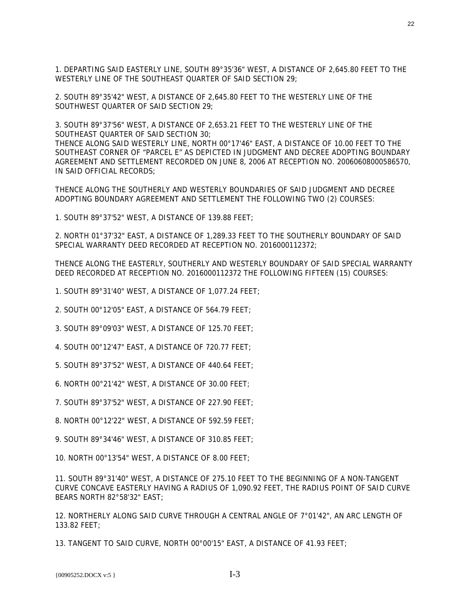1. DEPARTING SAID EASTERLY LINE, SOUTH 89°35'36" WEST, A DISTANCE OF 2,645.80 FEET TO THE WESTERLY LINE OF THE SOUTHEAST QUARTER OF SAID SECTION 29;

2. SOUTH 89°35'42" WEST, A DISTANCE OF 2,645.80 FEET TO THE WESTERLY LINE OF THE SOUTHWEST QUARTER OF SAID SECTION 29;

3. SOUTH 89°37'56" WEST, A DISTANCE OF 2,653.21 FEET TO THE WESTERLY LINE OF THE SOUTHEAST QUARTER OF SAID SECTION 30;

THENCE ALONG SAID WESTERLY LINE, NORTH 00°17'46" EAST, A DISTANCE OF 10.00 FEET TO THE SOUTHEAST CORNER OF "PARCEL E" AS DEPICTED IN JUDGMENT AND DECREE ADOPTING BOUNDARY AGREEMENT AND SETTLEMENT RECORDED ON JUNE 8, 2006 AT RECEPTION NO. 20060608000586570, IN SAID OFFICIAL RECORDS;

THENCE ALONG THE SOUTHERLY AND WESTERLY BOUNDARIES OF SAID JUDGMENT AND DECREE ADOPTING BOUNDARY AGREEMENT AND SETTLEMENT THE FOLLOWING TWO (2) COURSES:

1. SOUTH 89°37'52" WEST, A DISTANCE OF 139.88 FEET;

2. NORTH 01°37'32" EAST, A DISTANCE OF 1,289.33 FEET TO THE SOUTHERLY BOUNDARY OF SAID SPECIAL WARRANTY DEED RECORDED AT RECEPTION NO. 2016000112372;

THENCE ALONG THE EASTERLY, SOUTHERLY AND WESTERLY BOUNDARY OF SAID SPECIAL WARRANTY DEED RECORDED AT RECEPTION NO. 2016000112372 THE FOLLOWING FIFTEEN (15) COURSES:

- 1. SOUTH 89°31'40" WEST, A DISTANCE OF 1,077.24 FEET;
- 2. SOUTH 00°12'05" EAST, A DISTANCE OF 564.79 FEET;
- 3. SOUTH 89°09'03" WEST, A DISTANCE OF 125.70 FEET;
- 4. SOUTH 00°12'47" EAST, A DISTANCE OF 720.77 FEET;
- 5. SOUTH 89°37'52" WEST, A DISTANCE OF 440.64 FEET;
- 6. NORTH 00°21'42" WEST, A DISTANCE OF 30.00 FEET;
- 7. SOUTH 89°37'52" WEST, A DISTANCE OF 227.90 FEET;
- 8. NORTH 00°12'22" WEST, A DISTANCE OF 592.59 FEET;
- 9. SOUTH 89°34'46" WEST, A DISTANCE OF 310.85 FEET;

10. NORTH 00°13'54" WEST, A DISTANCE OF 8.00 FEET;

11. SOUTH 89°31'40" WEST, A DISTANCE OF 275.10 FEET TO THE BEGINNING OF A NON-TANGENT CURVE CONCAVE EASTERLY HAVING A RADIUS OF 1,090.92 FEET, THE RADIUS POINT OF SAID CURVE BEARS NORTH 82°58'32" EAST;

12. NORTHERLY ALONG SAID CURVE THROUGH A CENTRAL ANGLE OF 7°01'42", AN ARC LENGTH OF 133.82 FEET;

13. TANGENT TO SAID CURVE, NORTH 00°00'15" EAST, A DISTANCE OF 41.93 FEET;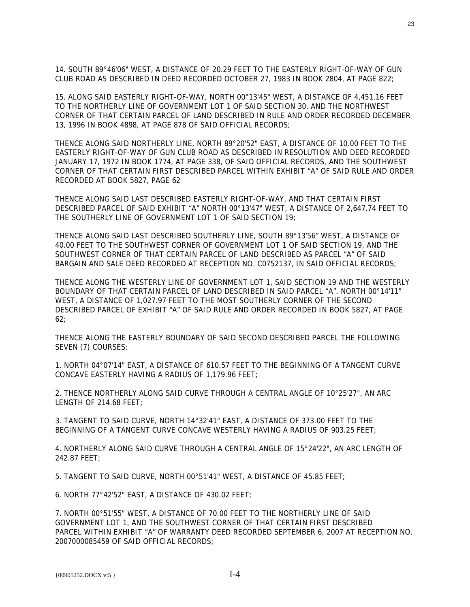14. SOUTH 89°46'06" WEST, A DISTANCE OF 20.29 FEET TO THE EASTERLY RIGHT-OF-WAY OF GUN CLUB ROAD AS DESCRIBED IN DEED RECORDED OCTOBER 27, 1983 IN BOOK 2804, AT PAGE 822;

15. ALONG SAID EASTERLY RIGHT-OF-WAY, NORTH 00°13'45" WEST, A DISTANCE OF 4,451.16 FEET TO THE NORTHERLY LINE OF GOVERNMENT LOT 1 OF SAID SECTION 30, AND THE NORTHWEST CORNER OF THAT CERTAIN PARCEL OF LAND DESCRIBED IN RULE AND ORDER RECORDED DECEMBER 13, 1996 IN BOOK 4898, AT PAGE 878 OF SAID OFFICIAL RECORDS;

THENCE ALONG SAID NORTHERLY LINE, NORTH 89°20'52" EAST, A DISTANCE OF 10.00 FEET TO THE EASTERLY RIGHT-OF-WAY OF GUN CLUB ROAD AS DESCRIBED IN RESOLUTION AND DEED RECORDED JANUARY 17, 1972 IN BOOK 1774, AT PAGE 338, OF SAID OFFICIAL RECORDS, AND THE SOUTHWEST CORNER OF THAT CERTAIN FIRST DESCRIBED PARCEL WITHIN EXHIBIT "A" OF SAID RULE AND ORDER RECORDED AT BOOK 5827, PAGE 62

THENCE ALONG SAID LAST DESCRIBED EASTERLY RIGHT-OF-WAY, AND THAT CERTAIN FIRST DESCRIBED PARCEL OF SAID EXHIBIT "A" NORTH 00°13'47" WEST, A DISTANCE OF 2,647.74 FEET TO THE SOUTHERLY LINE OF GOVERNMENT LOT 1 OF SAID SECTION 19;

THENCE ALONG SAID LAST DESCRIBED SOUTHERLY LINE, SOUTH 89°13'56" WEST, A DISTANCE OF 40.00 FEET TO THE SOUTHWEST CORNER OF GOVERNMENT LOT 1 OF SAID SECTION 19, AND THE SOUTHWEST CORNER OF THAT CERTAIN PARCEL OF LAND DESCRIBED AS PARCEL "A" OF SAID BARGAIN AND SALE DEED RECORDED AT RECEPTION NO. C0752137, IN SAID OFFICIAL RECORDS;

THENCE ALONG THE WESTERLY LINE OF GOVERNMENT LOT 1, SAID SECTION 19 AND THE WESTERLY BOUNDARY OF THAT CERTAIN PARCEL OF LAND DESCRIBED IN SAID PARCEL "A", NORTH 00°14'11" WEST, A DISTANCE OF 1,027.97 FEET TO THE MOST SOUTHERLY CORNER OF THE SECOND DESCRIBED PARCEL OF EXHIBIT "A" OF SAID RULE AND ORDER RECORDED IN BOOK 5827, AT PAGE 62;

THENCE ALONG THE EASTERLY BOUNDARY OF SAID SECOND DESCRIBED PARCEL THE FOLLOWING SEVEN (7) COURSES:

1. NORTH 04°07'14" EAST, A DISTANCE OF 610.57 FEET TO THE BEGINNING OF A TANGENT CURVE CONCAVE EASTERLY HAVING A RADIUS OF 1,179.96 FEET;

2. THENCE NORTHERLY ALONG SAID CURVE THROUGH A CENTRAL ANGLE OF 10°25'27", AN ARC LENGTH OF 214.68 FEET;

3. TANGENT TO SAID CURVE, NORTH 14°32'41" EAST, A DISTANCE OF 373.00 FEET TO THE BEGINNING OF A TANGENT CURVE CONCAVE WESTERLY HAVING A RADIUS OF 903.25 FEET;

4. NORTHERLY ALONG SAID CURVE THROUGH A CENTRAL ANGLE OF 15°24'22", AN ARC LENGTH OF 242.87 FEET;

5. TANGENT TO SAID CURVE, NORTH 00°51'41" WEST, A DISTANCE OF 45.85 FEET;

6. NORTH 77°42'52" EAST, A DISTANCE OF 430.02 FEET;

7. NORTH 00°51'55" WEST, A DISTANCE OF 70.00 FEET TO THE NORTHERLY LINE OF SAID GOVERNMENT LOT 1, AND THE SOUTHWEST CORNER OF THAT CERTAIN FIRST DESCRIBED PARCEL WITHIN EXHIBIT "A" OF WARRANTY DEED RECORDED SEPTEMBER 6, 2007 AT RECEPTION NO. 2007000085459 OF SAID OFFICIAL RECORDS;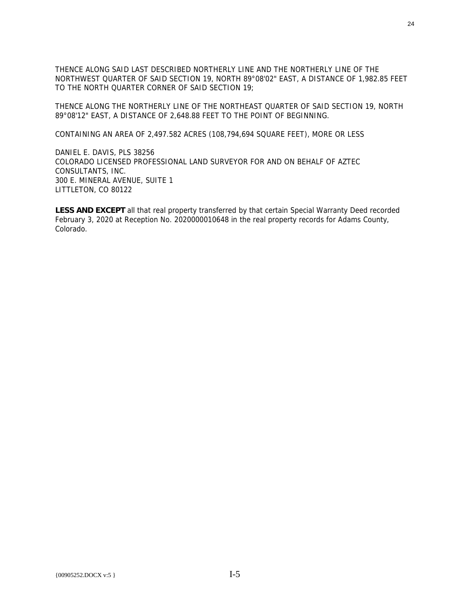THENCE ALONG SAID LAST DESCRIBED NORTHERLY LINE AND THE NORTHERLY LINE OF THE NORTHWEST QUARTER OF SAID SECTION 19, NORTH 89°08'02" EAST, A DISTANCE OF 1,982.85 FEET TO THE NORTH QUARTER CORNER OF SAID SECTION 19;

THENCE ALONG THE NORTHERLY LINE OF THE NORTHEAST QUARTER OF SAID SECTION 19, NORTH 89°08'12" EAST, A DISTANCE OF 2,648.88 FEET TO THE POINT OF BEGINNING.

CONTAINING AN AREA OF 2,497.582 ACRES (108,794,694 SQUARE FEET), MORE OR LESS

DANIEL E. DAVIS, PLS 38256 COLORADO LICENSED PROFESSIONAL LAND SURVEYOR FOR AND ON BEHALF OF AZTEC CONSULTANTS, INC. 300 E. MINERAL AVENUE, SUITE 1 LITTLETON, CO 80122

**LESS AND EXCEPT** all that real property transferred by that certain Special Warranty Deed recorded February 3, 2020 at Reception No. 2020000010648 in the real property records for Adams County, Colorado.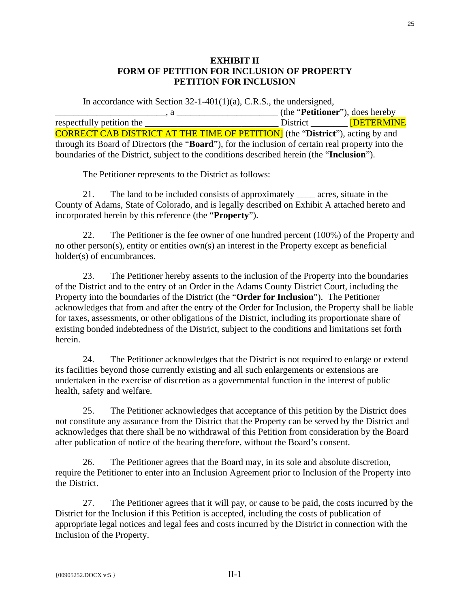## **EXHIBIT II FORM OF PETITION FOR INCLUSION OF PROPERTY PETITION FOR INCLUSION**

In accordance with Section 32-1-401(1)(a), C.R.S., the undersigned, \_\_\_\_\_\_\_\_\_\_\_\_\_\_\_\_\_\_\_\_\_\_\_\_, a \_\_\_\_\_\_\_\_\_\_\_\_\_\_\_\_\_\_\_\_\_\_ (the "**Petitioner**"), does hereby respectfully petition the  $\qquad \qquad$  District  $\qquad \qquad$  [DETERMINE CORRECT CAB DISTRICT AT THE TIME OF PETITION] (the "**District**"), acting by and through its Board of Directors (the "**Board**"), for the inclusion of certain real property into the boundaries of the District, subject to the conditions described herein (the "**Inclusion**").

The Petitioner represents to the District as follows:

21. The land to be included consists of approximately \_\_\_\_ acres, situate in the County of Adams, State of Colorado, and is legally described on Exhibit A attached hereto and incorporated herein by this reference (the "**Property**").

22. The Petitioner is the fee owner of one hundred percent (100%) of the Property and no other person(s), entity or entities own(s) an interest in the Property except as beneficial holder(s) of encumbrances.

23. The Petitioner hereby assents to the inclusion of the Property into the boundaries of the District and to the entry of an Order in the Adams County District Court, including the Property into the boundaries of the District (the "**Order for Inclusion**"). The Petitioner acknowledges that from and after the entry of the Order for Inclusion, the Property shall be liable for taxes, assessments, or other obligations of the District, including its proportionate share of existing bonded indebtedness of the District, subject to the conditions and limitations set forth herein.

24. The Petitioner acknowledges that the District is not required to enlarge or extend its facilities beyond those currently existing and all such enlargements or extensions are undertaken in the exercise of discretion as a governmental function in the interest of public health, safety and welfare.

25. The Petitioner acknowledges that acceptance of this petition by the District does not constitute any assurance from the District that the Property can be served by the District and acknowledges that there shall be no withdrawal of this Petition from consideration by the Board after publication of notice of the hearing therefore, without the Board's consent.

26. The Petitioner agrees that the Board may, in its sole and absolute discretion, require the Petitioner to enter into an Inclusion Agreement prior to Inclusion of the Property into the District.

27. The Petitioner agrees that it will pay, or cause to be paid, the costs incurred by the District for the Inclusion if this Petition is accepted, including the costs of publication of appropriate legal notices and legal fees and costs incurred by the District in connection with the Inclusion of the Property.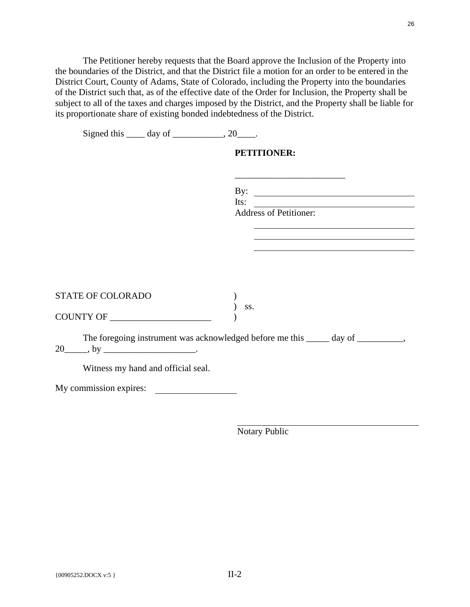The Petitioner hereby requests that the Board approve the Inclusion of the Property into the boundaries of the District, and that the District file a motion for an order to be entered in the District Court, County of Adams, State of Colorado, including the Property into the boundaries of the District such that, as of the effective date of the Order for Inclusion, the Property shall be subject to all of the taxes and charges imposed by the District, and the Property shall be liable for its proportionate share of existing bonded indebtedness of the District.

| Signed this $\_\_\_$ day of $\_\_\_\_\_$ , 20 $\_\_\_\_\$ . |                                                                                  |
|-------------------------------------------------------------|----------------------------------------------------------------------------------|
|                                                             | <b>PETITIONER:</b>                                                               |
|                                                             |                                                                                  |
|                                                             | By: $\qquad \qquad$                                                              |
|                                                             | Its: $\qquad \qquad$<br>Address of Petitioner:                                   |
|                                                             |                                                                                  |
|                                                             |                                                                                  |
|                                                             |                                                                                  |
|                                                             |                                                                                  |
| STATE OF COLORADO                                           | SS.                                                                              |
| COUNTY OF                                                   |                                                                                  |
| $20$ ky $\frac{1}{20}$ .                                    | The foregoing instrument was acknowledged before me this _____ day of _________, |
| Witness my hand and official seal.                          |                                                                                  |
| My commission expires:                                      |                                                                                  |
|                                                             |                                                                                  |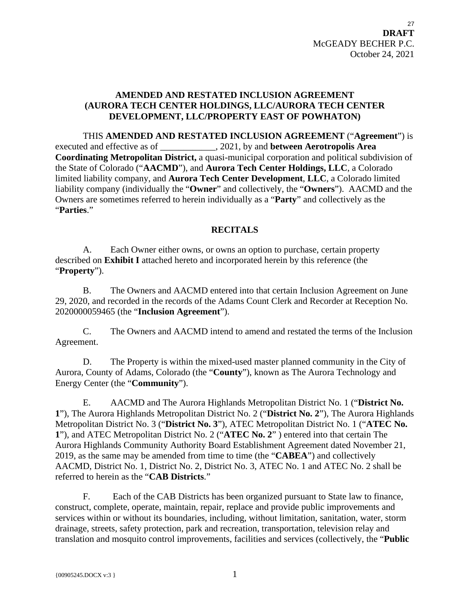# <span id="page-26-0"></span>**AMENDED AND RESTATED INCLUSION AGREEMENT (AURORA TECH CENTER HOLDINGS, LLC/AURORA TECH CENTER DEVELOPMENT, LLC/PROPERTY EAST OF POWHATON)**

THIS **AMENDED AND RESTATED INCLUSION AGREEMENT** ("**Agreement**") is executed and effective as of \_\_\_\_\_\_\_\_\_\_\_\_, 2021, by and **between Aerotropolis Area Coordinating Metropolitan District,** a quasi-municipal corporation and political subdivision of the State of Colorado ("**AACMD**"), and **Aurora Tech Center Holdings, LLC**, a Colorado limited liability company, and **Aurora Tech Center Development**, **LLC**, a Colorado limited liability company (individually the "**Owner**" and collectively, the "**Owners**"). AACMD and the Owners are sometimes referred to herein individually as a "**Party**" and collectively as the "**Parties**."

# **RECITALS**

A. Each Owner either owns, or owns an option to purchase, certain property described on **Exhibit I** attached hereto and incorporated herein by this reference (the "**Property**").

B. The Owners and AACMD entered into that certain Inclusion Agreement on June 29, 2020, and recorded in the records of the Adams Count Clerk and Recorder at Reception No. 2020000059465 (the "**Inclusion Agreement**").

C. The Owners and AACMD intend to amend and restated the terms of the Inclusion Agreement.

D. The Property is within the mixed-used master planned community in the City of Aurora, County of Adams, Colorado (the "**County**"), known as The Aurora Technology and Energy Center (the "**Community**").

E. AACMD and The Aurora Highlands Metropolitan District No. 1 ("**District No. 1**"), The Aurora Highlands Metropolitan District No. 2 ("**District No. 2**"), The Aurora Highlands Metropolitan District No. 3 ("**District No. 3**"), ATEC Metropolitan District No. 1 ("**ATEC No. 1**"), and ATEC Metropolitan District No. 2 ("**ATEC No. 2**" ) entered into that certain The Aurora Highlands Community Authority Board Establishment Agreement dated November 21, 2019, as the same may be amended from time to time (the "**CABEA**") and collectively AACMD, District No. 1, District No. 2, District No. 3, ATEC No. 1 and ATEC No. 2 shall be referred to herein as the "**CAB Districts**."

F. Each of the CAB Districts has been organized pursuant to State law to finance, construct, complete, operate, maintain, repair, replace and provide public improvements and services within or without its boundaries, including, without limitation, sanitation, water, storm drainage, streets, safety protection, park and recreation, transportation, television relay and translation and mosquito control improvements, facilities and services (collectively, the "**Public**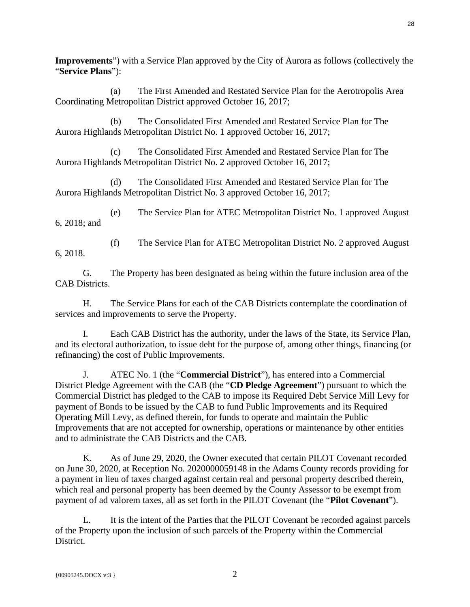**Improvements**") with a Service Plan approved by the City of Aurora as follows (collectively the "**Service Plans**"):

(a) The First Amended and Restated Service Plan for the Aerotropolis Area Coordinating Metropolitan District approved October 16, 2017;

(b) The Consolidated First Amended and Restated Service Plan for The Aurora Highlands Metropolitan District No. 1 approved October 16, 2017;

(c) The Consolidated First Amended and Restated Service Plan for The Aurora Highlands Metropolitan District No. 2 approved October 16, 2017;

(d) The Consolidated First Amended and Restated Service Plan for The Aurora Highlands Metropolitan District No. 3 approved October 16, 2017;

(e) The Service Plan for ATEC Metropolitan District No. 1 approved August 6, 2018; and

(f) The Service Plan for ATEC Metropolitan District No. 2 approved August 6, 2018.

G. The Property has been designated as being within the future inclusion area of the CAB Districts.

H. The Service Plans for each of the CAB Districts contemplate the coordination of services and improvements to serve the Property.

I. Each CAB District has the authority, under the laws of the State, its Service Plan, and its electoral authorization, to issue debt for the purpose of, among other things, financing (or refinancing) the cost of Public Improvements.

J. ATEC No. 1 (the "**Commercial District**"), has entered into a Commercial District Pledge Agreement with the CAB (the "**CD Pledge Agreement**") pursuant to which the Commercial District has pledged to the CAB to impose its Required Debt Service Mill Levy for payment of Bonds to be issued by the CAB to fund Public Improvements and its Required Operating Mill Levy, as defined therein, for funds to operate and maintain the Public Improvements that are not accepted for ownership, operations or maintenance by other entities and to administrate the CAB Districts and the CAB.

K. As of June 29, 2020, the Owner executed that certain PILOT Covenant recorded on June 30, 2020, at Reception No. 2020000059148 in the Adams County records providing for a payment in lieu of taxes charged against certain real and personal property described therein, which real and personal property has been deemed by the County Assessor to be exempt from payment of ad valorem taxes, all as set forth in the PILOT Covenant (the "**Pilot Covenant**").

L. It is the intent of the Parties that the PILOT Covenant be recorded against parcels of the Property upon the inclusion of such parcels of the Property within the Commercial District.

28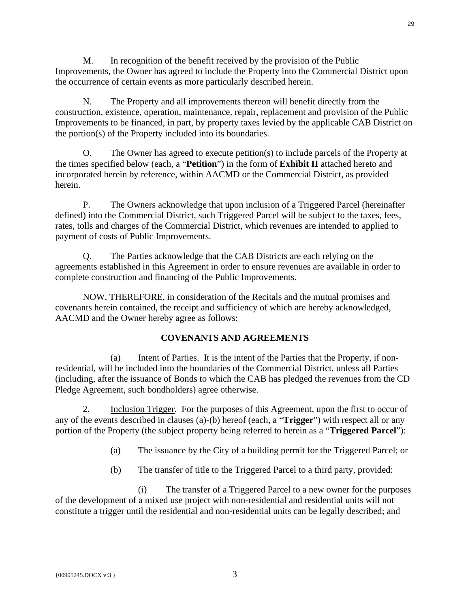M. In recognition of the benefit received by the provision of the Public Improvements, the Owner has agreed to include the Property into the Commercial District upon the occurrence of certain events as more particularly described herein.

N. The Property and all improvements thereon will benefit directly from the construction, existence, operation, maintenance, repair, replacement and provision of the Public Improvements to be financed, in part, by property taxes levied by the applicable CAB District on the portion(s) of the Property included into its boundaries.

O. The Owner has agreed to execute petition(s) to include parcels of the Property at the times specified below (each, a "**Petition**") in the form of **Exhibit II** attached hereto and incorporated herein by reference, within AACMD or the Commercial District, as provided herein.

P. The Owners acknowledge that upon inclusion of a Triggered Parcel (hereinafter defined) into the Commercial District, such Triggered Parcel will be subject to the taxes, fees, rates, tolls and charges of the Commercial District, which revenues are intended to applied to payment of costs of Public Improvements.

Q. The Parties acknowledge that the CAB Districts are each relying on the agreements established in this Agreement in order to ensure revenues are available in order to complete construction and financing of the Public Improvements.

NOW, THEREFORE, in consideration of the Recitals and the mutual promises and covenants herein contained, the receipt and sufficiency of which are hereby acknowledged, AACMD and the Owner hereby agree as follows:

# **COVENANTS AND AGREEMENTS**

(a) Intent of Parties. It is the intent of the Parties that the Property, if nonresidential, will be included into the boundaries of the Commercial District, unless all Parties (including, after the issuance of Bonds to which the CAB has pledged the revenues from the CD Pledge Agreement, such bondholders) agree otherwise.

2. Inclusion Trigger. For the purposes of this Agreement, upon the first to occur of any of the events described in clauses (a)-(b) hereof (each, a "**Trigger**") with respect all or any portion of the Property (the subject property being referred to herein as a "**Triggered Parcel**"):

- (a) The issuance by the City of a building permit for the Triggered Parcel; or
- (b) The transfer of title to the Triggered Parcel to a third party, provided:

(i) The transfer of a Triggered Parcel to a new owner for the purposes of the development of a mixed use project with non-residential and residential units will not constitute a trigger until the residential and non-residential units can be legally described; and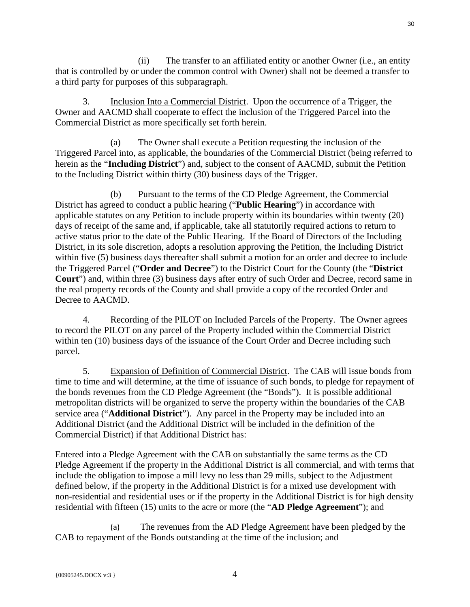(ii) The transfer to an affiliated entity or another Owner (i.e., an entity that is controlled by or under the common control with Owner) shall not be deemed a transfer to a third party for purposes of this subparagraph.

3. Inclusion Into a Commercial District. Upon the occurrence of a Trigger, the Owner and AACMD shall cooperate to effect the inclusion of the Triggered Parcel into the Commercial District as more specifically set forth herein.

(a) The Owner shall execute a Petition requesting the inclusion of the Triggered Parcel into, as applicable, the boundaries of the Commercial District (being referred to herein as the "**Including District**") and, subject to the consent of AACMD, submit the Petition to the Including District within thirty (30) business days of the Trigger.

(b) Pursuant to the terms of the CD Pledge Agreement, the Commercial District has agreed to conduct a public hearing ("**Public Hearing**") in accordance with applicable statutes on any Petition to include property within its boundaries within twenty (20) days of receipt of the same and, if applicable, take all statutorily required actions to return to active status prior to the date of the Public Hearing. If the Board of Directors of the Including District, in its sole discretion, adopts a resolution approving the Petition, the Including District within five (5) business days thereafter shall submit a motion for an order and decree to include the Triggered Parcel ("**Order and Decree**") to the District Court for the County (the "**District Court**") and, within three (3) business days after entry of such Order and Decree, record same in the real property records of the County and shall provide a copy of the recorded Order and Decree to AACMD.

4. Recording of the PILOT on Included Parcels of the Property. The Owner agrees to record the PILOT on any parcel of the Property included within the Commercial District within ten (10) business days of the issuance of the Court Order and Decree including such parcel.

5. Expansion of Definition of Commercial District. The CAB will issue bonds from time to time and will determine, at the time of issuance of such bonds, to pledge for repayment of the bonds revenues from the CD Pledge Agreement (the "Bonds"). It is possible additional metropolitan districts will be organized to serve the property within the boundaries of the CAB service area ("**Additional District**"). Any parcel in the Property may be included into an Additional District (and the Additional District will be included in the definition of the Commercial District) if that Additional District has:

Entered into a Pledge Agreement with the CAB on substantially the same terms as the CD Pledge Agreement if the property in the Additional District is all commercial, and with terms that include the obligation to impose a mill levy no less than 29 mills, subject to the Adjustment defined below, if the property in the Additional District is for a mixed use development with non-residential and residential uses or if the property in the Additional District is for high density residential with fifteen (15) units to the acre or more (the "**AD Pledge Agreement**"); and

(a) The revenues from the AD Pledge Agreement have been pledged by the CAB to repayment of the Bonds outstanding at the time of the inclusion; and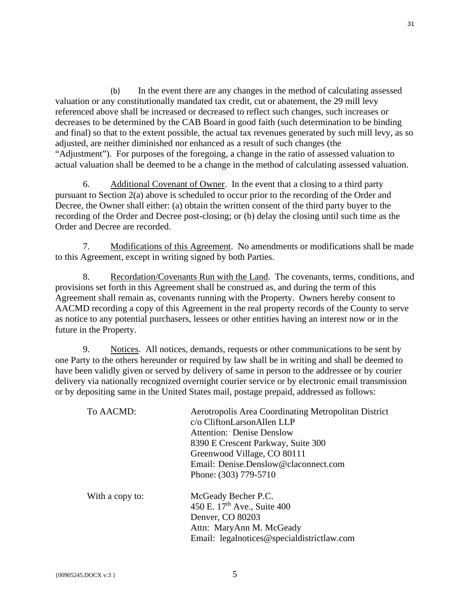(b) In the event there are any changes in the method of calculating assessed valuation or any constitutionally mandated tax credit, cut or abatement, the 29 mill levy referenced above shall be increased or decreased to reflect such changes, such increases or decreases to be determined by the CAB Board in good faith (such determination to be binding and final) so that to the extent possible, the actual tax revenues generated by such mill levy, as so adjusted, are neither diminished nor enhanced as a result of such changes (the "Adjustment"). For purposes of the foregoing, a change in the ratio of assessed valuation to actual valuation shall be deemed to be a change in the method of calculating assessed valuation.

6. Additional Covenant of Owner. In the event that a closing to a third party pursuant to Section 2(a) above is scheduled to occur prior to the recording of the Order and Decree, the Owner shall either: (a) obtain the written consent of the third party buyer to the recording of the Order and Decree post-closing; or (b) delay the closing until such time as the Order and Decree are recorded.

7. Modifications of this Agreement. No amendments or modifications shall be made to this Agreement, except in writing signed by both Parties.

8. Recordation/Covenants Run with the Land. The covenants, terms, conditions, and provisions set forth in this Agreement shall be construed as, and during the term of this Agreement shall remain as, covenants running with the Property. Owners hereby consent to AACMD recording a copy of this Agreement in the real property records of the County to serve as notice to any potential purchasers, lessees or other entities having an interest now or in the future in the Property.

9. Notices. All notices, demands, requests or other communications to be sent by one Party to the others hereunder or required by law shall be in writing and shall be deemed to have been validly given or served by delivery of same in person to the addressee or by courier delivery via nationally recognized overnight courier service or by electronic email transmission or by depositing same in the United States mail, postage prepaid, addressed as follows:

| To AACMD:       | Aerotropolis Area Coordinating Metropolitan District |  |
|-----------------|------------------------------------------------------|--|
|                 | c/o CliftonLarsonAllen LLP                           |  |
|                 | <b>Attention: Denise Denslow</b>                     |  |
|                 | 8390 E Crescent Parkway, Suite 300                   |  |
|                 | Greenwood Village, CO 80111                          |  |
|                 | Email: Denise.Denslow@claconnect.com                 |  |
|                 | Phone: (303) 779-5710                                |  |
| With a copy to: | McGeady Becher P.C.                                  |  |
|                 | 450 E. 17 <sup>th</sup> Ave., Suite 400              |  |
|                 | Denver, CO 80203                                     |  |
|                 | Attn: MaryAnn M. McGeady                             |  |
|                 | Email: legalnotices@specialdistrictlaw.com           |  |
|                 |                                                      |  |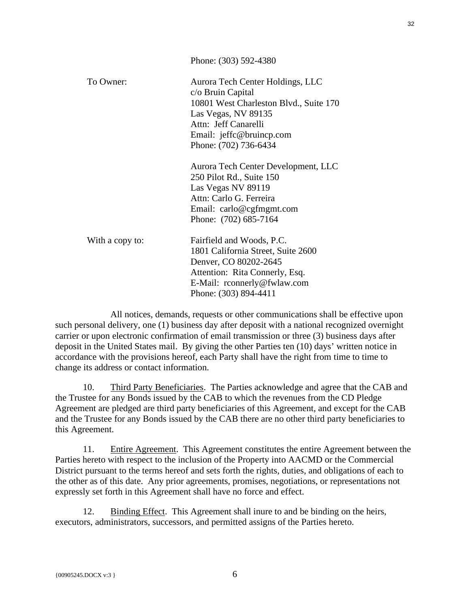|                 | Phone: (303) 592-4380                                                                                                                                                                               |
|-----------------|-----------------------------------------------------------------------------------------------------------------------------------------------------------------------------------------------------|
| To Owner:       | Aurora Tech Center Holdings, LLC<br>c/o Bruin Capital<br>10801 West Charleston Blvd., Suite 170<br>Las Vegas, NV 89135<br>Attn: Jeff Canarelli<br>Email: jeffc@bruincp.com<br>Phone: (702) 736-6434 |
|                 | Aurora Tech Center Development, LLC<br>250 Pilot Rd., Suite 150<br>Las Vegas NV 89119<br>Attn: Carlo G. Ferreira<br>Email: carlo@cgfmgmt.com<br>Phone: (702) 685-7164                               |
| With a copy to: | Fairfield and Woods, P.C.<br>1801 California Street, Suite 2600<br>Denver, CO 80202-2645<br>Attention: Rita Connerly, Esq.<br>E-Mail: rconnerly@fwlaw.com<br>Phone: (303) 894-4411                  |

All notices, demands, requests or other communications shall be effective upon such personal delivery, one (1) business day after deposit with a national recognized overnight carrier or upon electronic confirmation of email transmission or three (3) business days after deposit in the United States mail. By giving the other Parties ten (10) days' written notice in accordance with the provisions hereof, each Party shall have the right from time to time to change its address or contact information.

10. Third Party Beneficiaries. The Parties acknowledge and agree that the CAB and the Trustee for any Bonds issued by the CAB to which the revenues from the CD Pledge Agreement are pledged are third party beneficiaries of this Agreement, and except for the CAB and the Trustee for any Bonds issued by the CAB there are no other third party beneficiaries to this Agreement.

11. Entire Agreement. This Agreement constitutes the entire Agreement between the Parties hereto with respect to the inclusion of the Property into AACMD or the Commercial District pursuant to the terms hereof and sets forth the rights, duties, and obligations of each to the other as of this date. Any prior agreements, promises, negotiations, or representations not expressly set forth in this Agreement shall have no force and effect.

12. Binding Effect. This Agreement shall inure to and be binding on the heirs, executors, administrators, successors, and permitted assigns of the Parties hereto.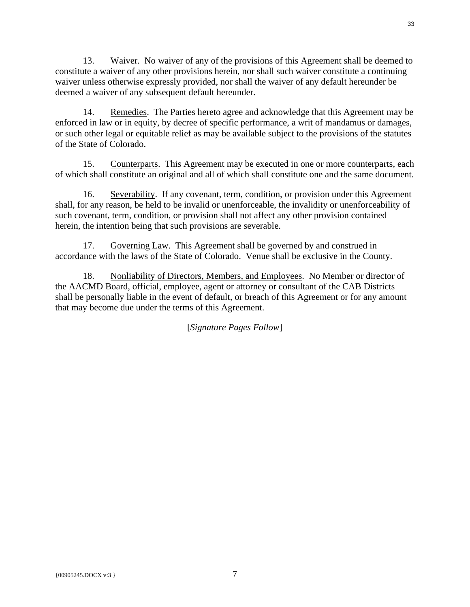13. Waiver. No waiver of any of the provisions of this Agreement shall be deemed to constitute a waiver of any other provisions herein, nor shall such waiver constitute a continuing waiver unless otherwise expressly provided, nor shall the waiver of any default hereunder be deemed a waiver of any subsequent default hereunder.

14. Remedies. The Parties hereto agree and acknowledge that this Agreement may be enforced in law or in equity, by decree of specific performance, a writ of mandamus or damages, or such other legal or equitable relief as may be available subject to the provisions of the statutes of the State of Colorado.

15. Counterparts. This Agreement may be executed in one or more counterparts, each of which shall constitute an original and all of which shall constitute one and the same document.

16. Severability. If any covenant, term, condition, or provision under this Agreement shall, for any reason, be held to be invalid or unenforceable, the invalidity or unenforceability of such covenant, term, condition, or provision shall not affect any other provision contained herein, the intention being that such provisions are severable.

17. Governing Law. This Agreement shall be governed by and construed in accordance with the laws of the State of Colorado. Venue shall be exclusive in the County.

18. Nonliability of Directors, Members, and Employees. No Member or director of the AACMD Board, official, employee, agent or attorney or consultant of the CAB Districts shall be personally liable in the event of default, or breach of this Agreement or for any amount that may become due under the terms of this Agreement.

[*Signature Pages Follow*]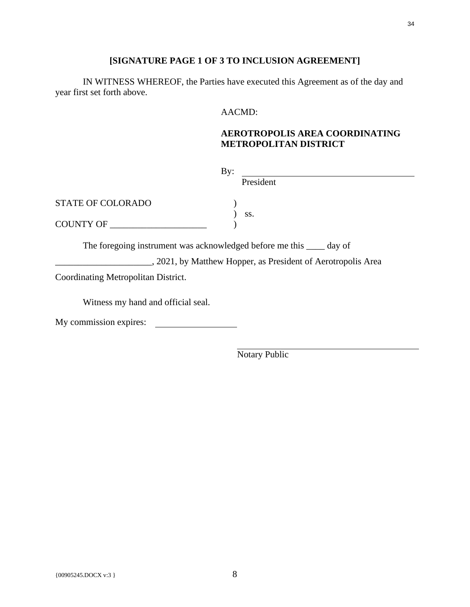## **[SIGNATURE PAGE 1 OF 3 TO INCLUSION AGREEMENT]**

IN WITNESS WHEREOF, the Parties have executed this Agreement as of the day and year first set forth above.

### AACMD:

# **AEROTROPOLIS AREA COORDINATING METROPOLITAN DISTRICT**

| By:                                                                   |           |
|-----------------------------------------------------------------------|-----------|
|                                                                       | President |
| <b>STATE OF COLORADO</b>                                              |           |
|                                                                       | SS.       |
| COUNTY OF                                                             |           |
| The foregoing instrument was acknowledged before me this _____ day of |           |

2021, by Matthew Hopper, as President of Aerotropolis Area

Coordinating Metropolitan District.

Witness my hand and official seal.

My commission expires: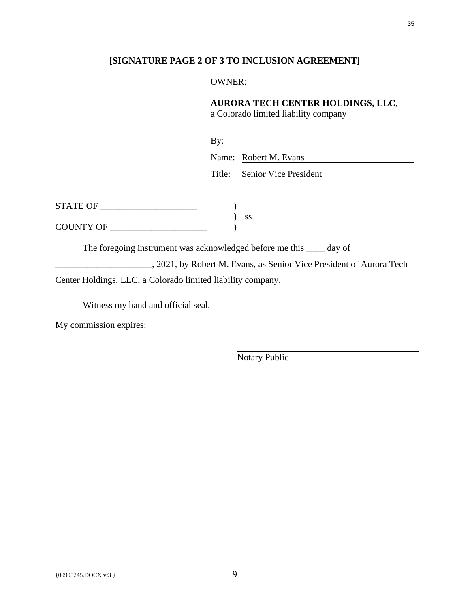### **[SIGNATURE PAGE 2 OF 3 TO INCLUSION AGREEMENT]**

### OWNER:

## **AURORA TECH CENTER HOLDINGS, LLC**,

a Colorado limited liability company

| $\rm\,By:$ |                              |
|------------|------------------------------|
|            | Name: Robert M. Evans        |
|            | Title: Senior Vice President |

| <b>STATE OF</b>  |  |
|------------------|--|
|                  |  |
| <b>COUNTY OF</b> |  |

The foregoing instrument was acknowledged before me this \_\_\_\_ day of \_\_\_\_\_\_\_\_\_\_\_\_\_\_\_\_\_\_\_\_\_, 2021, by Robert M. Evans, as Senior Vice President of Aurora Tech Center Holdings, LLC, a Colorado limited liability company.

Witness my hand and official seal.

My commission expires: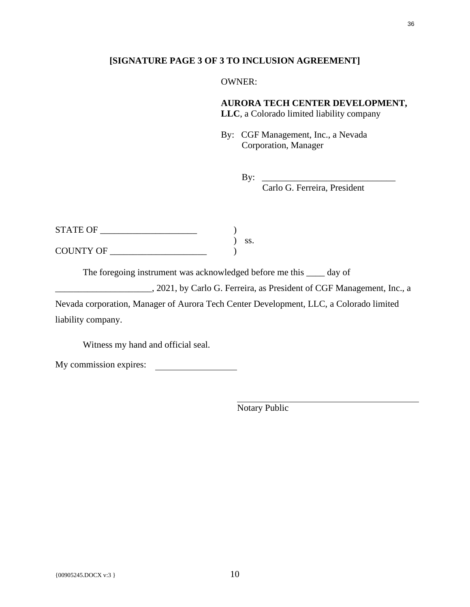### **[SIGNATURE PAGE 3 OF 3 TO INCLUSION AGREEMENT]**

OWNER:

**AURORA TECH CENTER DEVELOPMENT,** 

**LLC**, a Colorado limited liability company

By: CGF Management, Inc., a Nevada Corporation, Manager

By: \_\_\_\_\_\_\_\_\_\_\_\_\_\_\_\_\_\_\_\_\_\_\_\_\_\_\_\_\_

Carlo G. Ferreira, President

| <b>STATE OF</b>  |  |
|------------------|--|
|                  |  |
| <b>COUNTY OF</b> |  |

The foregoing instrument was acknowledged before me this \_\_\_\_ day of

\_\_\_\_\_\_\_\_\_\_\_\_\_\_\_\_\_\_\_\_\_, 2021, by Carlo G. Ferreira, as President of CGF Management, Inc., a

Nevada corporation, Manager of Aurora Tech Center Development, LLC, a Colorado limited liability company.

Witness my hand and official seal.

My commission expires: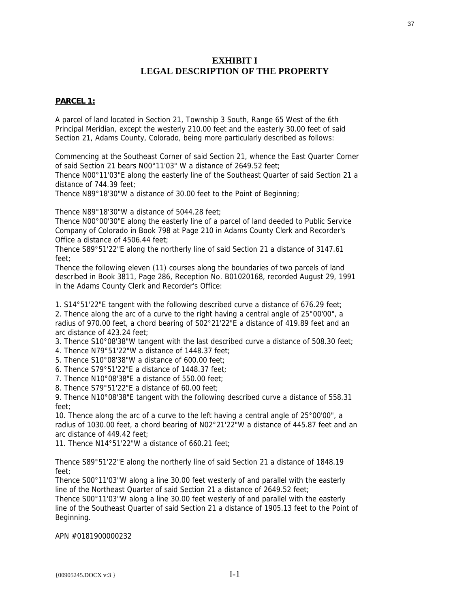## **EXHIBIT I LEGAL DESCRIPTION OF THE PROPERTY**

### **PARCEL 1:**

A parcel of land located in Section 21, Township 3 South, Range 65 West of the 6th Principal Meridian, except the westerly 210.00 feet and the easterly 30.00 feet of said Section 21, Adams County, Colorado, being more particularly described as follows:

Commencing at the Southeast Corner of said Section 21, whence the East Quarter Corner of said Section 21 bears N00°11'03" W a distance of 2649.52 feet;

Thence N00°11'03"E along the easterly line of the Southeast Quarter of said Section 21 a distance of 744.39 feet;

Thence N89°18'30"W a distance of 30.00 feet to the Point of Beginning;

Thence N89°18'30"W a distance of 5044.28 feet;

Thence N00°00'30"E along the easterly line of a parcel of land deeded to Public Service Company of Colorado in Book 798 at Page 210 in Adams County Clerk and Recorder's Office a distance of 4506.44 feet;

Thence S89°51'22"E along the northerly line of said Section 21 a distance of 3147.61 feet;

Thence the following eleven (11) courses along the boundaries of two parcels of land described in Book 3811, Page 286, Reception No. B01020168, recorded August 29, 1991 in the Adams County Clerk and Recorder's Office:

1. S14°51'22"E tangent with the following described curve a distance of 676.29 feet;

2. Thence along the arc of a curve to the right having a central angle of 25°00'00", a radius of 970.00 feet, a chord bearing of S02°21'22"E a distance of 419.89 feet and an arc distance of 423.24 feet;

3. Thence S10°08'38"W tangent with the last described curve a distance of 508.30 feet;

4. Thence N79°51'22"W a distance of 1448.37 feet;

5. Thence S10°08'38"W a distance of 600.00 feet;

6. Thence S79°51'22"E a distance of 1448.37 feet;

7. Thence N10°08'38"E a distance of 550.00 feet;

8. Thence S79°51'22"E a distance of 60.00 feet;

9. Thence N10°08'38"E tangent with the following described curve a distance of 558.31 feet;

10. Thence along the arc of a curve to the left having a central angle of 25°00'00", a radius of 1030.00 feet, a chord bearing of N02°21'22"W a distance of 445.87 feet and an arc distance of 449.42 feet;

11. Thence N14°51'22"W a distance of 660.21 feet;

Thence S89°51'22"E along the northerly line of said Section 21 a distance of 1848.19 feet;

Thence S00°11'03"W along a line 30.00 feet westerly of and parallel with the easterly line of the Northeast Quarter of said Section 21 a distance of 2649.52 feet;

Thence S00°11'03"W along a line 30.00 feet westerly of and parallel with the easterly line of the Southeast Quarter of said Section 21 a distance of 1905.13 feet to the Point of Beginning.

APN #0181900000232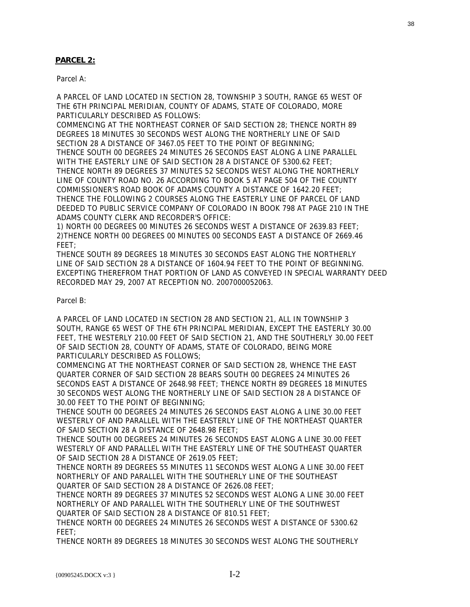### **PARCEL 2:**

Parcel A:

A PARCEL OF LAND LOCATED IN SECTION 28, TOWNSHIP 3 SOUTH, RANGE 65 WEST OF THE 6TH PRINCIPAL MERIDIAN, COUNTY OF ADAMS, STATE OF COLORADO, MORE PARTICULARLY DESCRIBED AS FOLLOWS:

COMMENCING AT THE NORTHEAST CORNER OF SAID SECTION 28; THENCE NORTH 89 DEGREES 18 MINUTES 30 SECONDS WEST ALONG THE NORTHERLY LINE OF SAID SECTION 28 A DISTANCE OF 3467.05 FEET TO THE POINT OF BEGINNING; THENCE SOUTH 00 DEGREES 24 MINUTES 26 SECONDS EAST ALONG A LINE PARALLEL WITH THE EASTERLY LINE OF SAID SECTION 28 A DISTANCE OF 5300.62 FEET; THENCE NORTH 89 DEGREES 37 MINUTES 52 SECONDS WEST ALONG THE NORTHERLY LINE OF COUNTY ROAD NO. 26 ACCORDING TO BOOK 5 AT PAGE 504 OF THE COUNTY COMMISSIONER'S ROAD BOOK OF ADAMS COUNTY A DISTANCE OF 1642.20 FEET; THENCE THE FOLLOWING 2 COURSES ALONG THE EASTERLY LINE OF PARCEL OF LAND DEEDED TO PUBLIC SERVICE COMPANY OF COLORADO IN BOOK 798 AT PAGE 210 IN THE ADAMS COUNTY CLERK AND RECORDER'S OFFICE:

1) NORTH 00 DEGREES 00 MINUTES 26 SECONDS WEST A DISTANCE OF 2639.83 FEET; 2)THENCE NORTH 00 DEGREES 00 MINUTES 00 SECONDS EAST A DISTANCE OF 2669.46 FEET;

THENCE SOUTH 89 DEGREES 18 MINUTES 30 SECONDS EAST ALONG THE NORTHERLY LINE OF SAID SECTION 28 A DISTANCE OF 1604.94 FEET TO THE POINT OF BEGINNING. EXCEPTING THEREFROM THAT PORTION OF LAND AS CONVEYED IN SPECIAL WARRANTY DEED RECORDED MAY 29, 2007 AT RECEPTION NO. 2007000052063.

Parcel B:

A PARCEL OF LAND LOCATED IN SECTION 28 AND SECTION 21, ALL IN TOWNSHIP 3 SOUTH, RANGE 65 WEST OF THE 6TH PRINCIPAL MERIDIAN, EXCEPT THE EASTERLY 30.00 FEET, THE WESTERLY 210.00 FEET OF SAID SECTION 21, AND THE SOUTHERLY 30.00 FEET OF SAID SECTION 28, COUNTY OF ADAMS, STATE OF COLORADO, BEING MORE PARTICULARLY DESCRIBED AS FOLLOWS;

COMMENCING AT THE NORTHEAST CORNER OF SAID SECTION 28, WHENCE THE EAST QUARTER CORNER OF SAID SECTION 28 BEARS SOUTH 00 DEGREES 24 MINUTES 26 SECONDS EAST A DISTANCE OF 2648.98 FEET; THENCE NORTH 89 DEGREES 18 MINUTES 30 SECONDS WEST ALONG THE NORTHERLY LINE OF SAID SECTION 28 A DISTANCE OF 30.00 FEET TO THE POINT OF BEGINNING;

THENCE SOUTH 00 DEGREES 24 MINUTES 26 SECONDS EAST ALONG A LINE 30.00 FEET WESTERLY OF AND PARALLEL WITH THE EASTERLY LINE OF THE NORTHEAST QUARTER OF SAID SECTION 28 A DISTANCE OF 2648.98 FEET;

THENCE SOUTH 00 DEGREES 24 MINUTES 26 SECONDS EAST ALONG A LINE 30.00 FEET WESTERLY OF AND PARALLEL WITH THE EASTERLY LINE OF THE SOUTHEAST QUARTER OF SAID SECTION 28 A DISTANCE OF 2619.05 FEET;

THENCE NORTH 89 DEGREES 55 MINUTES 11 SECONDS WEST ALONG A LINE 30.00 FEET NORTHERLY OF AND PARALLEL WITH THE SOUTHERLY LINE OF THE SOUTHEAST QUARTER OF SAID SECTION 28 A DISTANCE OF 2626.08 FEET;

THENCE NORTH 89 DEGREES 37 MINUTES 52 SECONDS WEST ALONG A LINE 30.00 FEET NORTHERLY OF AND PARALLEL WITH THE SOUTHERLY LINE OF THE SOUTHWEST QUARTER OF SAID SECTION 28 A DISTANCE OF 810.51 FEET;

THENCE NORTH 00 DEGREES 24 MINUTES 26 SECONDS WEST A DISTANCE OF 5300.62 FEET;

THENCE NORTH 89 DEGREES 18 MINUTES 30 SECONDS WEST ALONG THE SOUTHERLY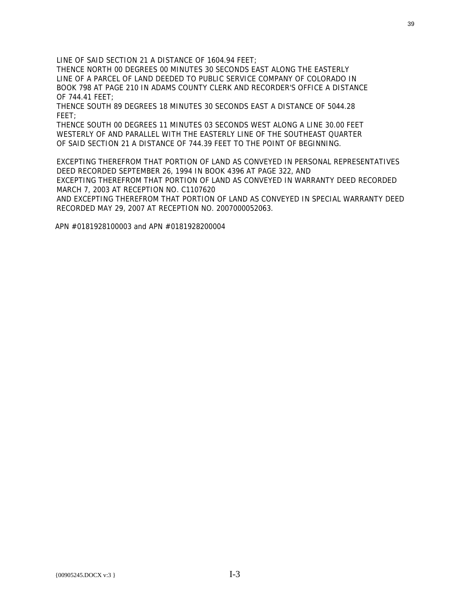LINE OF SAID SECTION 21 A DISTANCE OF 1604.94 FEET;

THENCE NORTH 00 DEGREES 00 MINUTES 30 SECONDS EAST ALONG THE EASTERLY LINE OF A PARCEL OF LAND DEEDED TO PUBLIC SERVICE COMPANY OF COLORADO IN BOOK 798 AT PAGE 210 IN ADAMS COUNTY CLERK AND RECORDER'S OFFICE A DISTANCE OF 744.41 FEET;

THENCE SOUTH 89 DEGREES 18 MINUTES 30 SECONDS EAST A DISTANCE OF 5044.28 FEET;

THENCE SOUTH 00 DEGREES 11 MINUTES 03 SECONDS WEST ALONG A LINE 30.00 FEET WESTERLY OF AND PARALLEL WITH THE EASTERLY LINE OF THE SOUTHEAST QUARTER OF SAID SECTION 21 A DISTANCE OF 744.39 FEET TO THE POINT OF BEGINNING.

EXCEPTING THEREFROM THAT PORTION OF LAND AS CONVEYED IN PERSONAL REPRESENTATIVES DEED RECORDED SEPTEMBER 26, 1994 IN BOOK 4396 AT PAGE 322, AND EXCEPTING THEREFROM THAT PORTION OF LAND AS CONVEYED IN WARRANTY DEED RECORDED MARCH 7, 2003 AT RECEPTION NO. C1107620

AND EXCEPTING THEREFROM THAT PORTION OF LAND AS CONVEYED IN SPECIAL WARRANTY DEED RECORDED MAY 29, 2007 AT RECEPTION NO. 2007000052063.

APN #0181928100003 and APN #0181928200004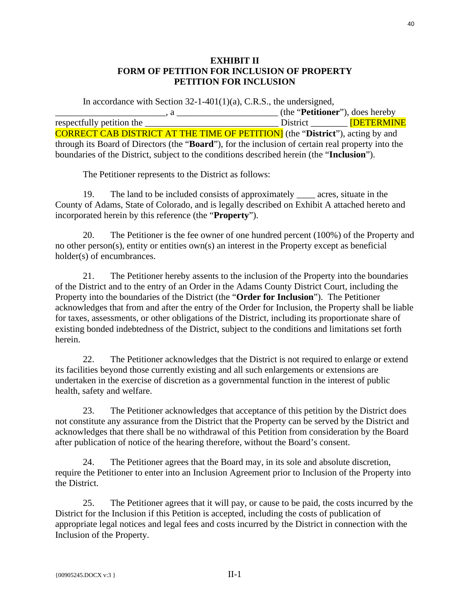# **EXHIBIT II FORM OF PETITION FOR INCLUSION OF PROPERTY PETITION FOR INCLUSION**

In accordance with Section  $32$ -1-401(1)(a), C.R.S., the undersigned, \_\_\_\_\_\_\_\_\_\_\_\_\_\_\_\_\_\_\_\_\_\_\_\_, a \_\_\_\_\_\_\_\_\_\_\_\_\_\_\_\_\_\_\_\_\_\_ (the "**Petitioner**"), does hereby respectfully petition the  $\qquad \qquad$  District  $\qquad \qquad$  [DETERMINE CORRECT CAB DISTRICT AT THE TIME OF PETITION] (the "**District**"), acting by and through its Board of Directors (the "**Board**"), for the inclusion of certain real property into the boundaries of the District, subject to the conditions described herein (the "**Inclusion**").

The Petitioner represents to the District as follows:

19. The land to be included consists of approximately \_\_\_\_ acres, situate in the County of Adams, State of Colorado, and is legally described on Exhibit A attached hereto and incorporated herein by this reference (the "**Property**").

20. The Petitioner is the fee owner of one hundred percent (100%) of the Property and no other person(s), entity or entities own(s) an interest in the Property except as beneficial holder(s) of encumbrances.

21. The Petitioner hereby assents to the inclusion of the Property into the boundaries of the District and to the entry of an Order in the Adams County District Court, including the Property into the boundaries of the District (the "**Order for Inclusion**"). The Petitioner acknowledges that from and after the entry of the Order for Inclusion, the Property shall be liable for taxes, assessments, or other obligations of the District, including its proportionate share of existing bonded indebtedness of the District, subject to the conditions and limitations set forth herein.

22. The Petitioner acknowledges that the District is not required to enlarge or extend its facilities beyond those currently existing and all such enlargements or extensions are undertaken in the exercise of discretion as a governmental function in the interest of public health, safety and welfare.

23. The Petitioner acknowledges that acceptance of this petition by the District does not constitute any assurance from the District that the Property can be served by the District and acknowledges that there shall be no withdrawal of this Petition from consideration by the Board after publication of notice of the hearing therefore, without the Board's consent.

24. The Petitioner agrees that the Board may, in its sole and absolute discretion, require the Petitioner to enter into an Inclusion Agreement prior to Inclusion of the Property into the District.

25. The Petitioner agrees that it will pay, or cause to be paid, the costs incurred by the District for the Inclusion if this Petition is accepted, including the costs of publication of appropriate legal notices and legal fees and costs incurred by the District in connection with the Inclusion of the Property.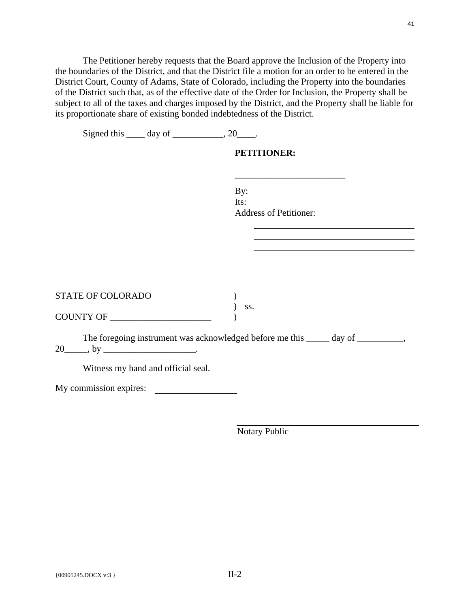The Petitioner hereby requests that the Board approve the Inclusion of the Property into the boundaries of the District, and that the District file a motion for an order to be entered in the District Court, County of Adams, State of Colorado, including the Property into the boundaries of the District such that, as of the effective date of the Order for Inclusion, the Property shall be subject to all of the taxes and charges imposed by the District, and the Property shall be liable for its proportionate share of existing bonded indebtedness of the District.

| Signed this $\_\_\_$ day of $\_\_\_\_\_$ , 20 $\_\_\_\_\$ . |                                                                                  |
|-------------------------------------------------------------|----------------------------------------------------------------------------------|
|                                                             | <b>PETITIONER:</b>                                                               |
|                                                             |                                                                                  |
|                                                             | By: $\qquad \qquad$<br>Its: $\qquad \qquad$                                      |
|                                                             | Address of Petitioner:                                                           |
|                                                             |                                                                                  |
|                                                             |                                                                                  |
|                                                             |                                                                                  |
|                                                             |                                                                                  |
| STATE OF COLORADO                                           | SS.                                                                              |
| COUNTY OF                                                   |                                                                                  |
| $20$ ky $\frac{1}{20}$ .                                    | The foregoing instrument was acknowledged before me this _____ day of _________, |
| Witness my hand and official seal.                          |                                                                                  |
| My commission expires:                                      |                                                                                  |
|                                                             |                                                                                  |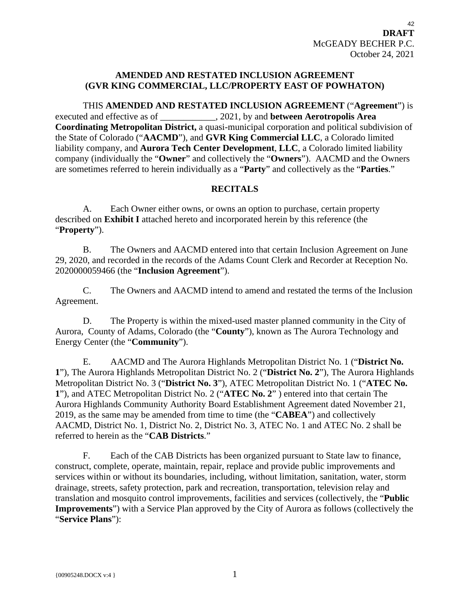# **AMENDED AND RESTATED INCLUSION AGREEMENT (GVR KING COMMERCIAL, LLC/PROPERTY EAST OF POWHATON)**

THIS **AMENDED AND RESTATED INCLUSION AGREEMENT** ("**Agreement**") is executed and effective as of \_\_\_\_\_\_\_\_\_\_\_\_, 2021, by and **between Aerotropolis Area Coordinating Metropolitan District,** a quasi-municipal corporation and political subdivision of the State of Colorado ("**AACMD**"), and **GVR King Commercial LLC**, a Colorado limited liability company, and **Aurora Tech Center Development**, **LLC**, a Colorado limited liability company (individually the "**Owner**" and collectively the "**Owners**"). AACMD and the Owners are sometimes referred to herein individually as a "**Party**" and collectively as the "**Parties**."

## **RECITALS**

A. Each Owner either owns, or owns an option to purchase, certain property described on **Exhibit I** attached hereto and incorporated herein by this reference (the "**Property**").

B. The Owners and AACMD entered into that certain Inclusion Agreement on June 29, 2020, and recorded in the records of the Adams Count Clerk and Recorder at Reception No. 2020000059466 (the "**Inclusion Agreement**").

C. The Owners and AACMD intend to amend and restated the terms of the Inclusion Agreement.

D. The Property is within the mixed-used master planned community in the City of Aurora, County of Adams, Colorado (the "**County**"), known as The Aurora Technology and Energy Center (the "**Community**").

E. AACMD and The Aurora Highlands Metropolitan District No. 1 ("**District No. 1**"), The Aurora Highlands Metropolitan District No. 2 ("**District No. 2**"), The Aurora Highlands Metropolitan District No. 3 ("**District No. 3**"), ATEC Metropolitan District No. 1 ("**ATEC No. 1**"), and ATEC Metropolitan District No. 2 ("**ATEC No. 2**" ) entered into that certain The Aurora Highlands Community Authority Board Establishment Agreement dated November 21, 2019, as the same may be amended from time to time (the "**CABEA**") and collectively AACMD, District No. 1, District No. 2, District No. 3, ATEC No. 1 and ATEC No. 2 shall be referred to herein as the "**CAB Districts**."

F. Each of the CAB Districts has been organized pursuant to State law to finance, construct, complete, operate, maintain, repair, replace and provide public improvements and services within or without its boundaries, including, without limitation, sanitation, water, storm drainage, streets, safety protection, park and recreation, transportation, television relay and translation and mosquito control improvements, facilities and services (collectively, the "**Public Improvements**") with a Service Plan approved by the City of Aurora as follows (collectively the "**Service Plans**"):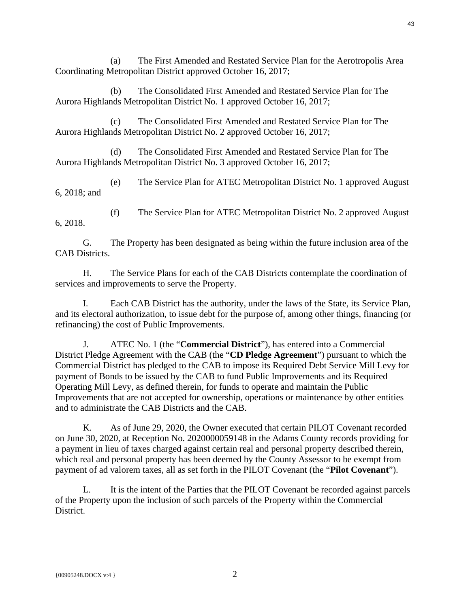(a) The First Amended and Restated Service Plan for the Aerotropolis Area Coordinating Metropolitan District approved October 16, 2017;

(b) The Consolidated First Amended and Restated Service Plan for The Aurora Highlands Metropolitan District No. 1 approved October 16, 2017;

(c) The Consolidated First Amended and Restated Service Plan for The Aurora Highlands Metropolitan District No. 2 approved October 16, 2017;

(d) The Consolidated First Amended and Restated Service Plan for The Aurora Highlands Metropolitan District No. 3 approved October 16, 2017;

(e) The Service Plan for ATEC Metropolitan District No. 1 approved August 6, 2018; and

(f) The Service Plan for ATEC Metropolitan District No. 2 approved August 6, 2018.

G. The Property has been designated as being within the future inclusion area of the CAB Districts.

H. The Service Plans for each of the CAB Districts contemplate the coordination of services and improvements to serve the Property.

I. Each CAB District has the authority, under the laws of the State, its Service Plan, and its electoral authorization, to issue debt for the purpose of, among other things, financing (or refinancing) the cost of Public Improvements.

J. ATEC No. 1 (the "**Commercial District**"), has entered into a Commercial District Pledge Agreement with the CAB (the "**CD Pledge Agreement**") pursuant to which the Commercial District has pledged to the CAB to impose its Required Debt Service Mill Levy for payment of Bonds to be issued by the CAB to fund Public Improvements and its Required Operating Mill Levy, as defined therein, for funds to operate and maintain the Public Improvements that are not accepted for ownership, operations or maintenance by other entities and to administrate the CAB Districts and the CAB.

K. As of June 29, 2020, the Owner executed that certain PILOT Covenant recorded on June 30, 2020, at Reception No. 2020000059148 in the Adams County records providing for a payment in lieu of taxes charged against certain real and personal property described therein, which real and personal property has been deemed by the County Assessor to be exempt from payment of ad valorem taxes, all as set forth in the PILOT Covenant (the "**Pilot Covenant**").

L. It is the intent of the Parties that the PILOT Covenant be recorded against parcels of the Property upon the inclusion of such parcels of the Property within the Commercial District.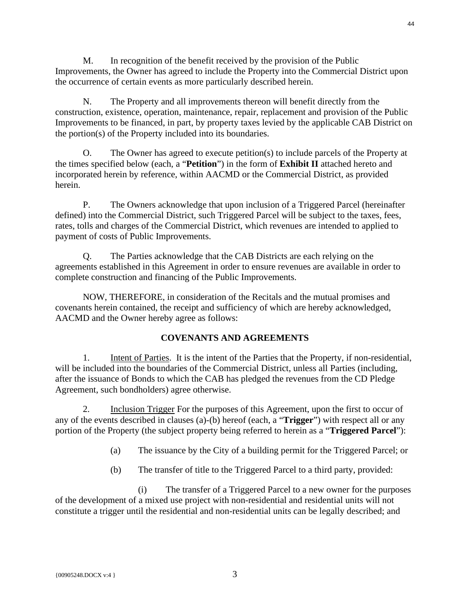M. In recognition of the benefit received by the provision of the Public Improvements, the Owner has agreed to include the Property into the Commercial District upon the occurrence of certain events as more particularly described herein.

N. The Property and all improvements thereon will benefit directly from the construction, existence, operation, maintenance, repair, replacement and provision of the Public Improvements to be financed, in part, by property taxes levied by the applicable CAB District on the portion(s) of the Property included into its boundaries.

O. The Owner has agreed to execute petition(s) to include parcels of the Property at the times specified below (each, a "**Petition**") in the form of **Exhibit II** attached hereto and incorporated herein by reference, within AACMD or the Commercial District, as provided herein.

P. The Owners acknowledge that upon inclusion of a Triggered Parcel (hereinafter defined) into the Commercial District, such Triggered Parcel will be subject to the taxes, fees, rates, tolls and charges of the Commercial District, which revenues are intended to applied to payment of costs of Public Improvements.

Q. The Parties acknowledge that the CAB Districts are each relying on the agreements established in this Agreement in order to ensure revenues are available in order to complete construction and financing of the Public Improvements.

NOW, THEREFORE, in consideration of the Recitals and the mutual promises and covenants herein contained, the receipt and sufficiency of which are hereby acknowledged, AACMD and the Owner hereby agree as follows:

# **COVENANTS AND AGREEMENTS**

1. Intent of Parties. It is the intent of the Parties that the Property, if non-residential, will be included into the boundaries of the Commercial District, unless all Parties (including, after the issuance of Bonds to which the CAB has pledged the revenues from the CD Pledge Agreement, such bondholders) agree otherwise.

2. Inclusion Trigger For the purposes of this Agreement, upon the first to occur of any of the events described in clauses (a)-(b) hereof (each, a "**Trigger**") with respect all or any portion of the Property (the subject property being referred to herein as a "**Triggered Parcel**"):

- (a) The issuance by the City of a building permit for the Triggered Parcel; or
- (b) The transfer of title to the Triggered Parcel to a third party, provided:

(i) The transfer of a Triggered Parcel to a new owner for the purposes of the development of a mixed use project with non-residential and residential units will not constitute a trigger until the residential and non-residential units can be legally described; and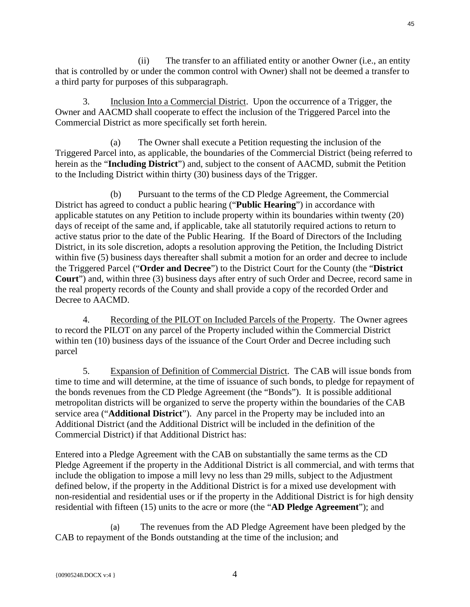(ii) The transfer to an affiliated entity or another Owner (i.e., an entity that is controlled by or under the common control with Owner) shall not be deemed a transfer to a third party for purposes of this subparagraph.

3. Inclusion Into a Commercial District. Upon the occurrence of a Trigger, the Owner and AACMD shall cooperate to effect the inclusion of the Triggered Parcel into the Commercial District as more specifically set forth herein.

(a) The Owner shall execute a Petition requesting the inclusion of the Triggered Parcel into, as applicable, the boundaries of the Commercial District (being referred to herein as the "**Including District**") and, subject to the consent of AACMD, submit the Petition to the Including District within thirty (30) business days of the Trigger.

(b) Pursuant to the terms of the CD Pledge Agreement, the Commercial District has agreed to conduct a public hearing ("**Public Hearing**") in accordance with applicable statutes on any Petition to include property within its boundaries within twenty (20) days of receipt of the same and, if applicable, take all statutorily required actions to return to active status prior to the date of the Public Hearing. If the Board of Directors of the Including District, in its sole discretion, adopts a resolution approving the Petition, the Including District within five (5) business days thereafter shall submit a motion for an order and decree to include the Triggered Parcel ("**Order and Decree**") to the District Court for the County (the "**District Court**") and, within three (3) business days after entry of such Order and Decree, record same in the real property records of the County and shall provide a copy of the recorded Order and Decree to AACMD.

4. Recording of the PILOT on Included Parcels of the Property. The Owner agrees to record the PILOT on any parcel of the Property included within the Commercial District within ten (10) business days of the issuance of the Court Order and Decree including such parcel

5. Expansion of Definition of Commercial District. The CAB will issue bonds from time to time and will determine, at the time of issuance of such bonds, to pledge for repayment of the bonds revenues from the CD Pledge Agreement (the "Bonds"). It is possible additional metropolitan districts will be organized to serve the property within the boundaries of the CAB service area ("**Additional District**"). Any parcel in the Property may be included into an Additional District (and the Additional District will be included in the definition of the Commercial District) if that Additional District has:

Entered into a Pledge Agreement with the CAB on substantially the same terms as the CD Pledge Agreement if the property in the Additional District is all commercial, and with terms that include the obligation to impose a mill levy no less than 29 mills, subject to the Adjustment defined below, if the property in the Additional District is for a mixed use development with non-residential and residential uses or if the property in the Additional District is for high density residential with fifteen (15) units to the acre or more (the "**AD Pledge Agreement**"); and

(a) The revenues from the AD Pledge Agreement have been pledged by the CAB to repayment of the Bonds outstanding at the time of the inclusion; and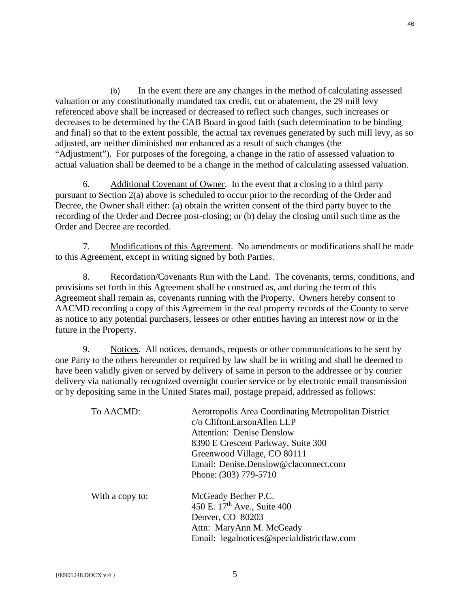(b) In the event there are any changes in the method of calculating assessed valuation or any constitutionally mandated tax credit, cut or abatement, the 29 mill levy referenced above shall be increased or decreased to reflect such changes, such increases or decreases to be determined by the CAB Board in good faith (such determination to be binding and final) so that to the extent possible, the actual tax revenues generated by such mill levy, as so adjusted, are neither diminished nor enhanced as a result of such changes (the "Adjustment"). For purposes of the foregoing, a change in the ratio of assessed valuation to actual valuation shall be deemed to be a change in the method of calculating assessed valuation.

6. Additional Covenant of Owner. In the event that a closing to a third party pursuant to Section 2(a) above is scheduled to occur prior to the recording of the Order and Decree, the Owner shall either: (a) obtain the written consent of the third party buyer to the recording of the Order and Decree post-closing; or (b) delay the closing until such time as the Order and Decree are recorded.

7. Modifications of this Agreement. No amendments or modifications shall be made to this Agreement, except in writing signed by both Parties.

8. Recordation/Covenants Run with the Land. The covenants, terms, conditions, and provisions set forth in this Agreement shall be construed as, and during the term of this Agreement shall remain as, covenants running with the Property. Owners hereby consent to AACMD recording a copy of this Agreement in the real property records of the County to serve as notice to any potential purchasers, lessees or other entities having an interest now or in the future in the Property.

9. Notices. All notices, demands, requests or other communications to be sent by one Party to the others hereunder or required by law shall be in writing and shall be deemed to have been validly given or served by delivery of same in person to the addressee or by courier delivery via nationally recognized overnight courier service or by electronic email transmission or by depositing same in the United States mail, postage prepaid, addressed as follows:

| To AACMD:       | Aerotropolis Area Coordinating Metropolitan District |
|-----------------|------------------------------------------------------|
|                 | c/o CliftonLarsonAllen LLP                           |
|                 | <b>Attention: Denise Denslow</b>                     |
|                 | 8390 E Crescent Parkway, Suite 300                   |
|                 | Greenwood Village, CO 80111                          |
|                 | Email: Denise.Denslow@claconnect.com                 |
|                 | Phone: (303) 779-5710                                |
| With a copy to: | McGeady Becher P.C.                                  |
|                 | 450 E. 17 <sup>th</sup> Ave., Suite 400              |
|                 | Denver, CO 80203                                     |
|                 | Attn: MaryAnn M. McGeady                             |
|                 | Email: legalnotices@specialdistrictlaw.com           |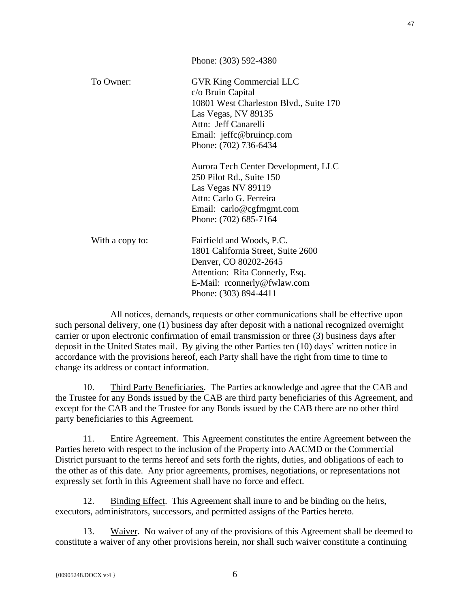|                 | Phone: (303) 592-4380                  |
|-----------------|----------------------------------------|
| To Owner:       | <b>GVR King Commercial LLC</b>         |
|                 | c/o Bruin Capital                      |
|                 | 10801 West Charleston Blvd., Suite 170 |
|                 | Las Vegas, NV 89135                    |
|                 | Attn: Jeff Canarelli                   |
|                 | Email: jeffc@bruincp.com               |
|                 | Phone: (702) 736-6434                  |
|                 | Aurora Tech Center Development, LLC    |
|                 | 250 Pilot Rd., Suite 150               |
|                 | Las Vegas NV 89119                     |
|                 | Attn: Carlo G. Ferreira                |
|                 | Email: carlo@cgfmgmt.com               |
|                 | Phone: (702) 685-7164                  |
| With a copy to: | Fairfield and Woods, P.C.              |
|                 | 1801 California Street, Suite 2600     |
|                 | Denver, CO 80202-2645                  |
|                 | Attention: Rita Connerly, Esq.         |
|                 | E-Mail: rconnerly@fwlaw.com            |
|                 | Phone: (303) 894-4411                  |

All notices, demands, requests or other communications shall be effective upon such personal delivery, one (1) business day after deposit with a national recognized overnight carrier or upon electronic confirmation of email transmission or three (3) business days after deposit in the United States mail. By giving the other Parties ten (10) days' written notice in accordance with the provisions hereof, each Party shall have the right from time to time to change its address or contact information.

10. Third Party Beneficiaries. The Parties acknowledge and agree that the CAB and the Trustee for any Bonds issued by the CAB are third party beneficiaries of this Agreement, and except for the CAB and the Trustee for any Bonds issued by the CAB there are no other third party beneficiaries to this Agreement.

11. Entire Agreement. This Agreement constitutes the entire Agreement between the Parties hereto with respect to the inclusion of the Property into AACMD or the Commercial District pursuant to the terms hereof and sets forth the rights, duties, and obligations of each to the other as of this date. Any prior agreements, promises, negotiations, or representations not expressly set forth in this Agreement shall have no force and effect.

12. Binding Effect. This Agreement shall inure to and be binding on the heirs, executors, administrators, successors, and permitted assigns of the Parties hereto.

13. Waiver. No waiver of any of the provisions of this Agreement shall be deemed to constitute a waiver of any other provisions herein, nor shall such waiver constitute a continuing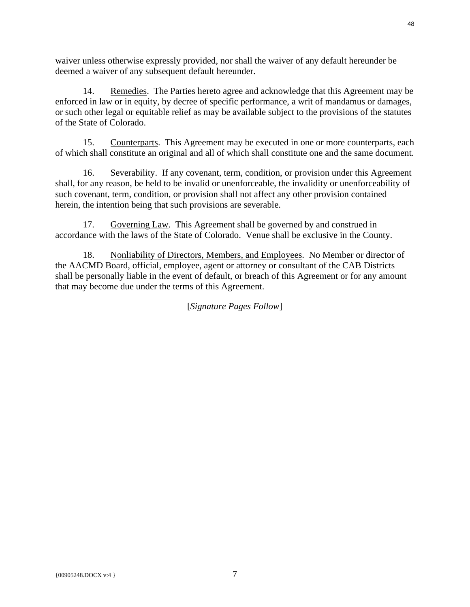waiver unless otherwise expressly provided, nor shall the waiver of any default hereunder be deemed a waiver of any subsequent default hereunder.

14. Remedies. The Parties hereto agree and acknowledge that this Agreement may be enforced in law or in equity, by decree of specific performance, a writ of mandamus or damages, or such other legal or equitable relief as may be available subject to the provisions of the statutes of the State of Colorado.

15. Counterparts. This Agreement may be executed in one or more counterparts, each of which shall constitute an original and all of which shall constitute one and the same document.

16. Severability. If any covenant, term, condition, or provision under this Agreement shall, for any reason, be held to be invalid or unenforceable, the invalidity or unenforceability of such covenant, term, condition, or provision shall not affect any other provision contained herein, the intention being that such provisions are severable.

17. Governing Law. This Agreement shall be governed by and construed in accordance with the laws of the State of Colorado. Venue shall be exclusive in the County.

18. Nonliability of Directors, Members, and Employees. No Member or director of the AACMD Board, official, employee, agent or attorney or consultant of the CAB Districts shall be personally liable in the event of default, or breach of this Agreement or for any amount that may become due under the terms of this Agreement.

[*Signature Pages Follow*]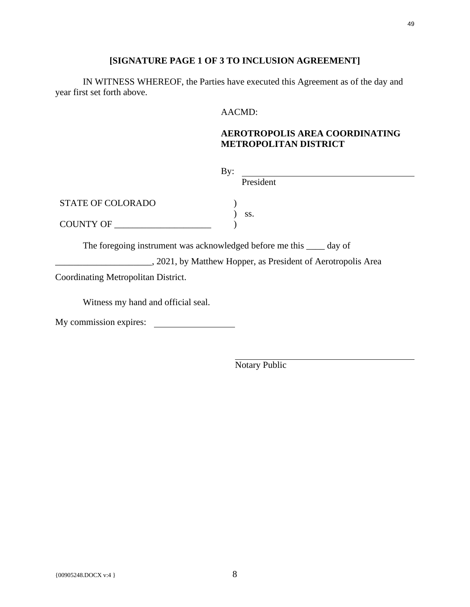# **[SIGNATURE PAGE 1 OF 3 TO INCLUSION AGREEMENT]**

IN WITNESS WHEREOF, the Parties have executed this Agreement as of the day and year first set forth above.

### AACMD:

# **AEROTROPOLIS AREA COORDINATING METROPOLITAN DISTRICT**

| $\rm\,By:$                                                            |           |
|-----------------------------------------------------------------------|-----------|
|                                                                       | President |
| <b>STATE OF COLORADO</b>                                              | SS.       |
| COUNTY OF                                                             |           |
| The foregoing instrument was acknowledged before me this _____ day of |           |

2021, by Matthew Hopper, as President of Aerotropolis Area

Coordinating Metropolitan District.

Witness my hand and official seal.

My commission expires: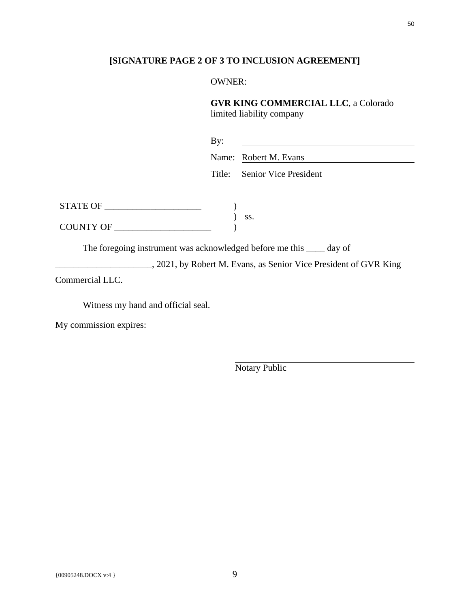# **[SIGNATURE PAGE 2 OF 3 TO INCLUSION AGREEMENT]**

### OWNER:

# **GVR KING COMMERCIAL LLC**, a Colorado

limited liability company

| By: |                              |
|-----|------------------------------|
|     | Name: Robert M. Evans        |
|     | Title: Senior Vice President |

| <b>STATE OF</b>  |  |
|------------------|--|
|                  |  |
| <b>COUNTY OF</b> |  |

The foregoing instrument was acknowledged before me this \_\_\_\_ day of

\_\_\_\_\_\_\_\_\_\_\_\_\_\_\_\_\_\_\_\_\_, 2021, by Robert M. Evans, as Senior Vice President of GVR King

Commercial LLC.

Witness my hand and official seal.

My commission expires: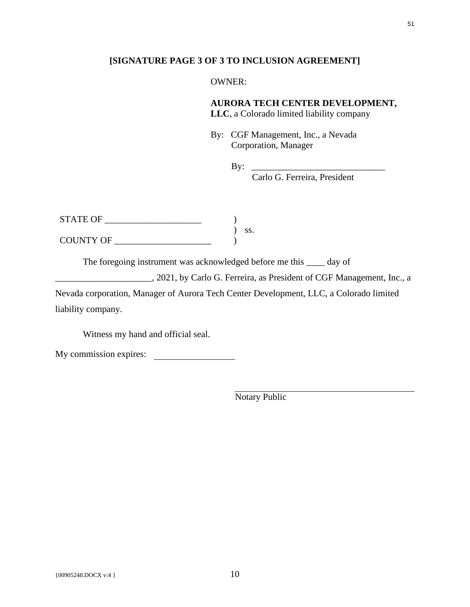### **[SIGNATURE PAGE 3 OF 3 TO INCLUSION AGREEMENT]**

### OWNER:

# **AURORA TECH CENTER DEVELOPMENT,**

**LLC**, a Colorado limited liability company

By: CGF Management, Inc., a Nevada Corporation, Manager

By:  $\Box$ 

Carlo G. Ferreira, President

| <b>STATE OF</b> |  |
|-----------------|--|
|                 |  |
| COUNTY OF       |  |

The foregoing instrument was acknowledged before me this \_\_\_\_ day of

\_\_\_\_\_\_\_\_\_\_\_\_\_\_\_\_\_\_\_\_\_, 2021, by Carlo G. Ferreira, as President of CGF Management, Inc., a

Nevada corporation, Manager of Aurora Tech Center Development, LLC, a Colorado limited liability company.

Witness my hand and official seal.

My commission expires: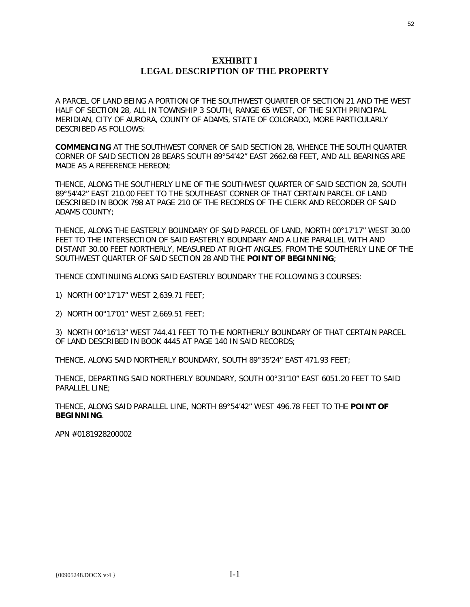### **EXHIBIT I LEGAL DESCRIPTION OF THE PROPERTY**

A PARCEL OF LAND BEING A PORTION OF THE SOUTHWEST QUARTER OF SECTION 21 AND THE WEST HALF OF SECTION 28, ALL IN TOWNSHIP 3 SOUTH, RANGE 65 WEST, OF THE SIXTH PRINCIPAL MERIDIAN, CITY OF AURORA, COUNTY OF ADAMS, STATE OF COLORADO, MORE PARTICULARLY DESCRIBED AS FOLLOWS:

**COMMENCING** AT THE SOUTHWEST CORNER OF SAID SECTION 28, WHENCE THE SOUTH QUARTER CORNER OF SAID SECTION 28 BEARS SOUTH 89°54'42" EAST 2662.68 FEET, AND ALL BEARINGS ARE MADE AS A REFERENCE HEREON;

THENCE, ALONG THE SOUTHERLY LINE OF THE SOUTHWEST QUARTER OF SAID SECTION 28, SOUTH 89°54'42" EAST 210.00 FEET TO THE SOUTHEAST CORNER OF THAT CERTAIN PARCEL OF LAND DESCRIBED IN BOOK 798 AT PAGE 210 OF THE RECORDS OF THE CLERK AND RECORDER OF SAID ADAMS COUNTY;

THENCE, ALONG THE EASTERLY BOUNDARY OF SAID PARCEL OF LAND, NORTH 00°17'17" WEST 30.00 FEET TO THE INTERSECTION OF SAID EASTERLY BOUNDARY AND A LINE PARALLEL WITH AND DISTANT 30.00 FEET NORTHERLY, MEASURED AT RIGHT ANGLES, FROM THE SOUTHERLY LINE OF THE SOUTHWEST QUARTER OF SAID SECTION 28 AND THE **POINT OF BEGINNING**;

THENCE CONTINUING ALONG SAID EASTERLY BOUNDARY THE FOLLOWING 3 COURSES:

1) NORTH 00°17'17" WEST 2,639.71 FEET;

2) NORTH 00°17'01" WEST 2,669.51 FEET;

3) NORTH 00°16'13" WEST 744.41 FEET TO THE NORTHERLY BOUNDARY OF THAT CERTAIN PARCEL OF LAND DESCRIBED IN BOOK 4445 AT PAGE 140 IN SAID RECORDS;

THENCE, ALONG SAID NORTHERLY BOUNDARY, SOUTH 89°35'24" EAST 471.93 FEET;

THENCE, DEPARTING SAID NORTHERLY BOUNDARY, SOUTH 00°31'10" EAST 6051.20 FEET TO SAID PARALLEL LINE;

THENCE, ALONG SAID PARALLEL LINE, NORTH 89°54'42" WEST 496.78 FEET TO THE **POINT OF BEGINNING**.

APN #0181928200002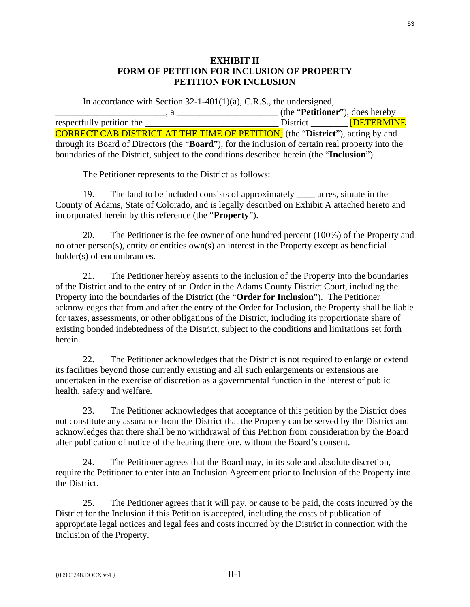# **EXHIBIT II FORM OF PETITION FOR INCLUSION OF PROPERTY PETITION FOR INCLUSION**

In accordance with Section  $32$ -1-401(1)(a), C.R.S., the undersigned, \_\_\_\_\_\_\_\_\_\_\_\_\_\_\_\_\_\_\_\_\_\_\_\_, a \_\_\_\_\_\_\_\_\_\_\_\_\_\_\_\_\_\_\_\_\_\_ (the "**Petitioner**"), does hereby respectfully petition the  $\qquad \qquad$  District  $\qquad \qquad$  [DETERMINE CORRECT CAB DISTRICT AT THE TIME OF PETITION] (the "**District**"), acting by and through its Board of Directors (the "**Board**"), for the inclusion of certain real property into the boundaries of the District, subject to the conditions described herein (the "**Inclusion**").

The Petitioner represents to the District as follows:

19. The land to be included consists of approximately \_\_\_\_ acres, situate in the County of Adams, State of Colorado, and is legally described on Exhibit A attached hereto and incorporated herein by this reference (the "**Property**").

20. The Petitioner is the fee owner of one hundred percent (100%) of the Property and no other person(s), entity or entities own(s) an interest in the Property except as beneficial holder(s) of encumbrances.

21. The Petitioner hereby assents to the inclusion of the Property into the boundaries of the District and to the entry of an Order in the Adams County District Court, including the Property into the boundaries of the District (the "**Order for Inclusion**"). The Petitioner acknowledges that from and after the entry of the Order for Inclusion, the Property shall be liable for taxes, assessments, or other obligations of the District, including its proportionate share of existing bonded indebtedness of the District, subject to the conditions and limitations set forth herein.

22. The Petitioner acknowledges that the District is not required to enlarge or extend its facilities beyond those currently existing and all such enlargements or extensions are undertaken in the exercise of discretion as a governmental function in the interest of public health, safety and welfare.

23. The Petitioner acknowledges that acceptance of this petition by the District does not constitute any assurance from the District that the Property can be served by the District and acknowledges that there shall be no withdrawal of this Petition from consideration by the Board after publication of notice of the hearing therefore, without the Board's consent.

24. The Petitioner agrees that the Board may, in its sole and absolute discretion, require the Petitioner to enter into an Inclusion Agreement prior to Inclusion of the Property into the District.

25. The Petitioner agrees that it will pay, or cause to be paid, the costs incurred by the District for the Inclusion if this Petition is accepted, including the costs of publication of appropriate legal notices and legal fees and costs incurred by the District in connection with the Inclusion of the Property.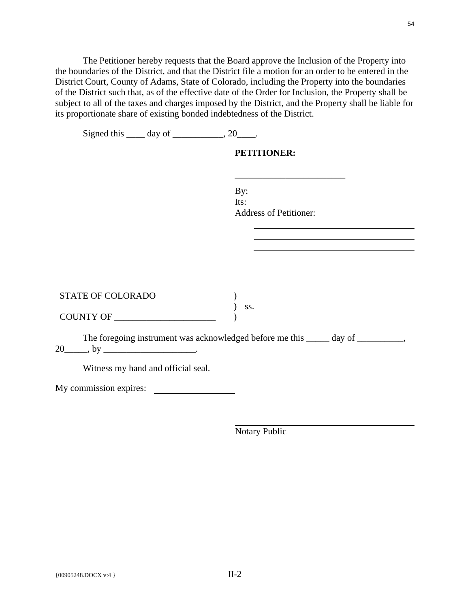The Petitioner hereby requests that the Board approve the Inclusion of the Property into the boundaries of the District, and that the District file a motion for an order to be entered in the District Court, County of Adams, State of Colorado, including the Property into the boundaries of the District such that, as of the effective date of the Order for Inclusion, the Property shall be subject to all of the taxes and charges imposed by the District, and the Property shall be liable for its proportionate share of existing bonded indebtedness of the District.

| Signed this $\_\_\_$ day of $\_\_\_\_\_$ , 20 $\_\_\_\_\$ . |                                                                                  |
|-------------------------------------------------------------|----------------------------------------------------------------------------------|
|                                                             | <b>PETITIONER:</b>                                                               |
|                                                             |                                                                                  |
|                                                             | By: $\qquad \qquad$                                                              |
|                                                             | Its: $\qquad \qquad$                                                             |
|                                                             | Address of Petitioner:                                                           |
|                                                             |                                                                                  |
|                                                             |                                                                                  |
|                                                             |                                                                                  |
|                                                             |                                                                                  |
| STATE OF COLORADO                                           | SS.                                                                              |
| COUNTY OF                                                   |                                                                                  |
|                                                             | The foregoing instrument was acknowledged before me this _____ day of _________, |
| Witness my hand and official seal.                          |                                                                                  |
| My commission expires:                                      |                                                                                  |
|                                                             |                                                                                  |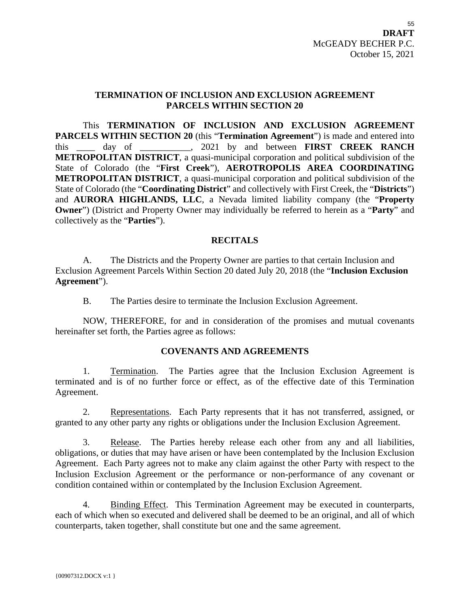### **TERMINATION OF INCLUSION AND EXCLUSION AGREEMENT PARCELS WITHIN SECTION 20**

This **TERMINATION OF INCLUSION AND EXCLUSION AGREEMENT PARCELS WITHIN SECTION 20** (this "**Termination Agreement**") is made and entered into this \_\_\_\_ day of \_\_\_\_\_\_\_\_\_\_\_, 2021 by and between **FIRST CREEK RANCH METROPOLITAN DISTRICT**, a quasi-municipal corporation and political subdivision of the State of Colorado (the "**First Creek**"), **AEROTROPOLIS AREA COORDINATING METROPOLITAN DISTRICT**, a quasi-municipal corporation and political subdivision of the State of Colorado (the "**Coordinating District**" and collectively with First Creek, the "**Districts**") and **AURORA HIGHLANDS, LLC**, a Nevada limited liability company (the "**Property Owner**") (District and Property Owner may individually be referred to herein as a "**Party**" and collectively as the "**Parties**").

## **RECITALS**

A. The Districts and the Property Owner are parties to that certain Inclusion and Exclusion Agreement Parcels Within Section 20 dated July 20, 2018 (the "**Inclusion Exclusion Agreement**").

B. The Parties desire to terminate the Inclusion Exclusion Agreement.

NOW, THEREFORE, for and in consideration of the promises and mutual covenants hereinafter set forth, the Parties agree as follows:

### **COVENANTS AND AGREEMENTS**

1. Termination. The Parties agree that the Inclusion Exclusion Agreement is terminated and is of no further force or effect, as of the effective date of this Termination Agreement.

2. Representations. Each Party represents that it has not transferred, assigned, or granted to any other party any rights or obligations under the Inclusion Exclusion Agreement.

3. Release. The Parties hereby release each other from any and all liabilities, obligations, or duties that may have arisen or have been contemplated by the Inclusion Exclusion Agreement. Each Party agrees not to make any claim against the other Party with respect to the Inclusion Exclusion Agreement or the performance or non-performance of any covenant or condition contained within or contemplated by the Inclusion Exclusion Agreement.

4. Binding Effect. This Termination Agreement may be executed in counterparts, each of which when so executed and delivered shall be deemed to be an original, and all of which counterparts, taken together, shall constitute but one and the same agreement.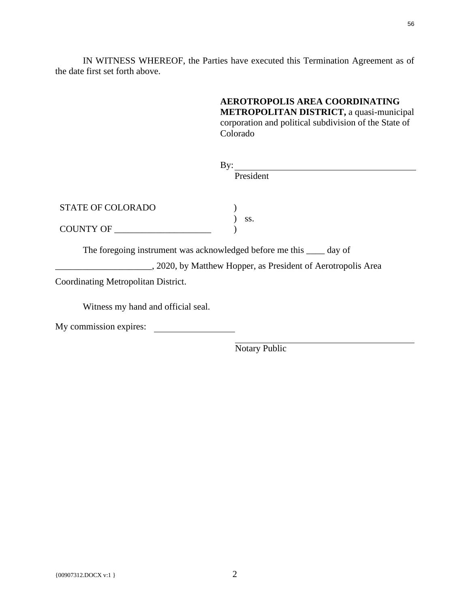IN WITNESS WHEREOF, the Parties have executed this Termination Agreement as of the date first set forth above.

> **AEROTROPOLIS AREA COORDINATING METROPOLITAN DISTRICT,** a quasi-municipal corporation and political subdivision of the State of Colorado

| $\rm\,By:$                                                            |                                                              |  |
|-----------------------------------------------------------------------|--------------------------------------------------------------|--|
|                                                                       | President                                                    |  |
|                                                                       |                                                              |  |
|                                                                       |                                                              |  |
| <b>STATE OF COLORADO</b>                                              |                                                              |  |
|                                                                       | SS.                                                          |  |
| COUNTY OF                                                             |                                                              |  |
|                                                                       |                                                              |  |
| The foregoing instrument was acknowledged before me this _____ day of |                                                              |  |
|                                                                       | , 2020, by Matthew Hopper, as President of Aerotropolis Area |  |
| Coordinating Metropolitan District.                                   |                                                              |  |
|                                                                       |                                                              |  |
| Witness my hand and official seal.                                    |                                                              |  |
| My commission expires:                                                |                                                              |  |
|                                                                       |                                                              |  |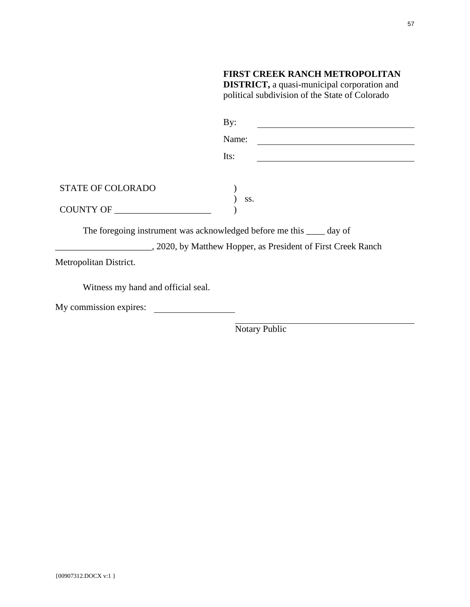|                                    | <b>FIRST CREEK RANCH METROPOLITAN</b><br><b>DISTRICT</b> , a quasi-municipal corporation and<br>political subdivision of the State of Colorado |  |
|------------------------------------|------------------------------------------------------------------------------------------------------------------------------------------------|--|
|                                    | By:                                                                                                                                            |  |
|                                    | Name:                                                                                                                                          |  |
|                                    | Its:<br><u> 1989 - Johann Barbara, martin a bhaile an t-</u>                                                                                   |  |
|                                    |                                                                                                                                                |  |
| <b>STATE OF COLORADO</b>           |                                                                                                                                                |  |
| COUNTY OF                          | SS.                                                                                                                                            |  |
|                                    | The foregoing instrument was acknowledged before me this _____ day of                                                                          |  |
|                                    | , 2020, by Matthew Hopper, as President of First Creek Ranch                                                                                   |  |
| Metropolitan District.             |                                                                                                                                                |  |
| Witness my hand and official seal. |                                                                                                                                                |  |
| My commission expires:             |                                                                                                                                                |  |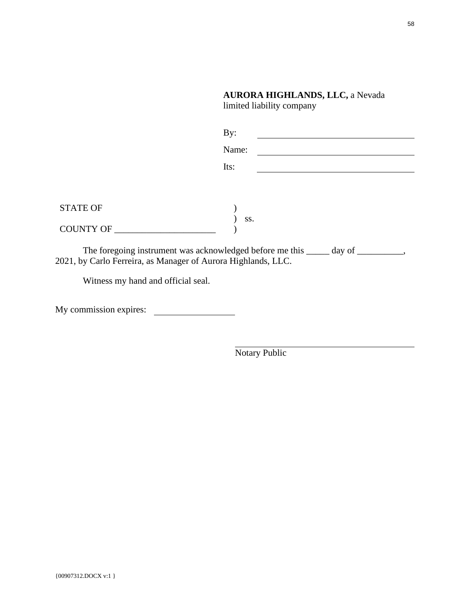# **AURORA HIGHLANDS, LLC,** a Nevada limited liability company

|                                                                                                                                                   | By:   |  |
|---------------------------------------------------------------------------------------------------------------------------------------------------|-------|--|
|                                                                                                                                                   | Name: |  |
|                                                                                                                                                   | Its:  |  |
|                                                                                                                                                   |       |  |
| <b>STATE OF</b>                                                                                                                                   | SS.   |  |
| COUNTY OF _________                                                                                                                               |       |  |
| The foregoing instrument was acknowledged before me this _____ day of _________,<br>2021, by Carlo Ferreira, as Manager of Aurora Highlands, LLC. |       |  |
| Witness my hand and official seal.                                                                                                                |       |  |

My commission expires: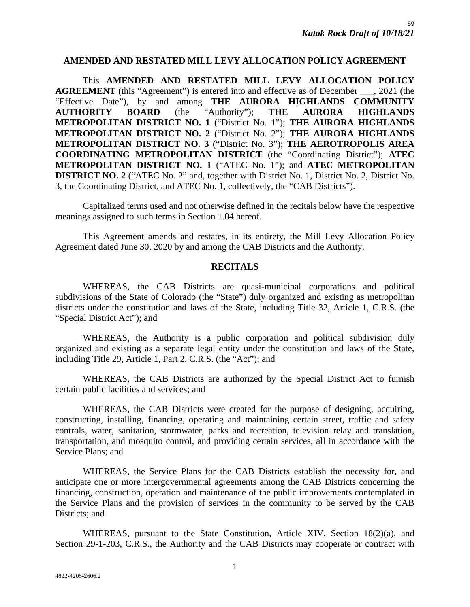### **AMENDED AND RESTATED MILL LEVY ALLOCATION POLICY AGREEMENT**

This **AMENDED AND RESTATED MILL LEVY ALLOCATION POLICY AGREEMENT** (this "Agreement") is entered into and effective as of December \_\_\_, 2021 (the "Effective Date"), by and among **THE AURORA HIGHLANDS COMMUNITY AUTHORITY BOARD** (the "Authority"); **THE AURORA HIGHLANDS METROPOLITAN DISTRICT NO. 1** ("District No. 1"); **THE AURORA HIGHLANDS METROPOLITAN DISTRICT NO. 2** ("District No. 2"); **THE AURORA HIGHLANDS METROPOLITAN DISTRICT NO. 3** ("District No. 3"); **THE AEROTROPOLIS AREA COORDINATING METROPOLITAN DISTRICT** (the "Coordinating District"); **ATEC METROPOLITAN DISTRICT NO. 1** ("ATEC No. 1"); and **ATEC METROPOLITAN DISTRICT NO. 2** ("ATEC No. 2" and, together with District No. 1, District No. 2, District No. 3, the Coordinating District, and ATEC No. 1, collectively, the "CAB Districts").

Capitalized terms used and not otherwise defined in the recitals below have the respective meanings assigned to such terms in Section 1.04 hereof.

This Agreement amends and restates, in its entirety, the Mill Levy Allocation Policy Agreement dated June 30, 2020 by and among the CAB Districts and the Authority.

### **RECITALS**

WHEREAS, the CAB Districts are quasi-municipal corporations and political subdivisions of the State of Colorado (the "State") duly organized and existing as metropolitan districts under the constitution and laws of the State, including Title 32, Article 1, C.R.S. (the "Special District Act"); and

WHEREAS, the Authority is a public corporation and political subdivision duly organized and existing as a separate legal entity under the constitution and laws of the State, including Title 29, Article 1, Part 2, C.R.S. (the "Act"); and

WHEREAS, the CAB Districts are authorized by the Special District Act to furnish certain public facilities and services; and

WHEREAS, the CAB Districts were created for the purpose of designing, acquiring, constructing, installing, financing, operating and maintaining certain street, traffic and safety controls, water, sanitation, stormwater, parks and recreation, television relay and translation, transportation, and mosquito control, and providing certain services, all in accordance with the Service Plans; and

WHEREAS, the Service Plans for the CAB Districts establish the necessity for, and anticipate one or more intergovernmental agreements among the CAB Districts concerning the financing, construction, operation and maintenance of the public improvements contemplated in the Service Plans and the provision of services in the community to be served by the CAB Districts; and

WHEREAS, pursuant to the State Constitution, Article XIV, Section 18(2)(a), and Section 29-1-203, C.R.S., the Authority and the CAB Districts may cooperate or contract with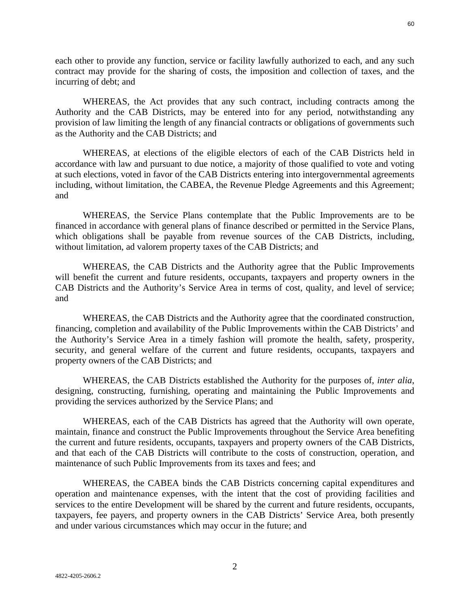each other to provide any function, service or facility lawfully authorized to each, and any such contract may provide for the sharing of costs, the imposition and collection of taxes, and the incurring of debt; and

WHEREAS, the Act provides that any such contract, including contracts among the Authority and the CAB Districts, may be entered into for any period, notwithstanding any provision of law limiting the length of any financial contracts or obligations of governments such as the Authority and the CAB Districts; and

WHEREAS, at elections of the eligible electors of each of the CAB Districts held in accordance with law and pursuant to due notice, a majority of those qualified to vote and voting at such elections, voted in favor of the CAB Districts entering into intergovernmental agreements including, without limitation, the CABEA, the Revenue Pledge Agreements and this Agreement; and

WHEREAS, the Service Plans contemplate that the Public Improvements are to be financed in accordance with general plans of finance described or permitted in the Service Plans, which obligations shall be payable from revenue sources of the CAB Districts, including, without limitation, ad valorem property taxes of the CAB Districts; and

WHEREAS, the CAB Districts and the Authority agree that the Public Improvements will benefit the current and future residents, occupants, taxpayers and property owners in the CAB Districts and the Authority's Service Area in terms of cost, quality, and level of service; and

WHEREAS, the CAB Districts and the Authority agree that the coordinated construction, financing, completion and availability of the Public Improvements within the CAB Districts' and the Authority's Service Area in a timely fashion will promote the health, safety, prosperity, security, and general welfare of the current and future residents, occupants, taxpayers and property owners of the CAB Districts; and

WHEREAS, the CAB Districts established the Authority for the purposes of, *inter alia*, designing, constructing, furnishing, operating and maintaining the Public Improvements and providing the services authorized by the Service Plans; and

WHEREAS, each of the CAB Districts has agreed that the Authority will own operate, maintain, finance and construct the Public Improvements throughout the Service Area benefiting the current and future residents, occupants, taxpayers and property owners of the CAB Districts, and that each of the CAB Districts will contribute to the costs of construction, operation, and maintenance of such Public Improvements from its taxes and fees; and

WHEREAS, the CABEA binds the CAB Districts concerning capital expenditures and operation and maintenance expenses, with the intent that the cost of providing facilities and services to the entire Development will be shared by the current and future residents, occupants, taxpayers, fee payers, and property owners in the CAB Districts' Service Area, both presently and under various circumstances which may occur in the future; and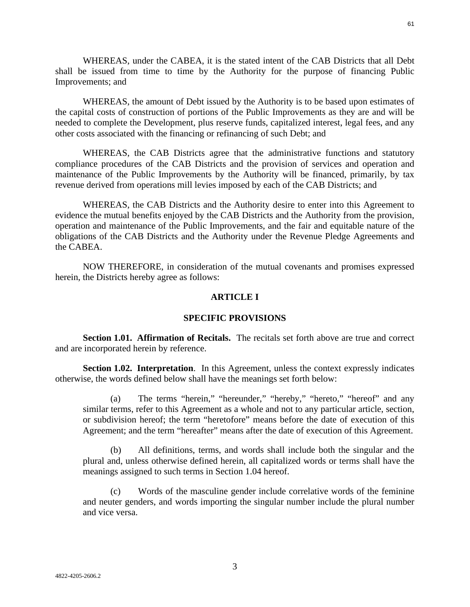61

WHEREAS, under the CABEA, it is the stated intent of the CAB Districts that all Debt shall be issued from time to time by the Authority for the purpose of financing Public Improvements; and

WHEREAS, the amount of Debt issued by the Authority is to be based upon estimates of the capital costs of construction of portions of the Public Improvements as they are and will be needed to complete the Development, plus reserve funds, capitalized interest, legal fees, and any other costs associated with the financing or refinancing of such Debt; and

WHEREAS, the CAB Districts agree that the administrative functions and statutory compliance procedures of the CAB Districts and the provision of services and operation and maintenance of the Public Improvements by the Authority will be financed, primarily, by tax revenue derived from operations mill levies imposed by each of the CAB Districts; and

WHEREAS, the CAB Districts and the Authority desire to enter into this Agreement to evidence the mutual benefits enjoyed by the CAB Districts and the Authority from the provision, operation and maintenance of the Public Improvements, and the fair and equitable nature of the obligations of the CAB Districts and the Authority under the Revenue Pledge Agreements and the CABEA.

NOW THEREFORE, in consideration of the mutual covenants and promises expressed herein, the Districts hereby agree as follows:

### **ARTICLE I**

### **SPECIFIC PROVISIONS**

**Section 1.01. Affirmation of Recitals.** The recitals set forth above are true and correct and are incorporated herein by reference.

**Section 1.02. Interpretation.** In this Agreement, unless the context expressly indicates otherwise, the words defined below shall have the meanings set forth below:

(a) The terms "herein," "hereunder," "hereby," "hereto," "hereof" and any similar terms, refer to this Agreement as a whole and not to any particular article, section, or subdivision hereof; the term "heretofore" means before the date of execution of this Agreement; and the term "hereafter" means after the date of execution of this Agreement.

(b) All definitions, terms, and words shall include both the singular and the plural and, unless otherwise defined herein, all capitalized words or terms shall have the meanings assigned to such terms in Section 1.04 hereof.

(c) Words of the masculine gender include correlative words of the feminine and neuter genders, and words importing the singular number include the plural number and vice versa.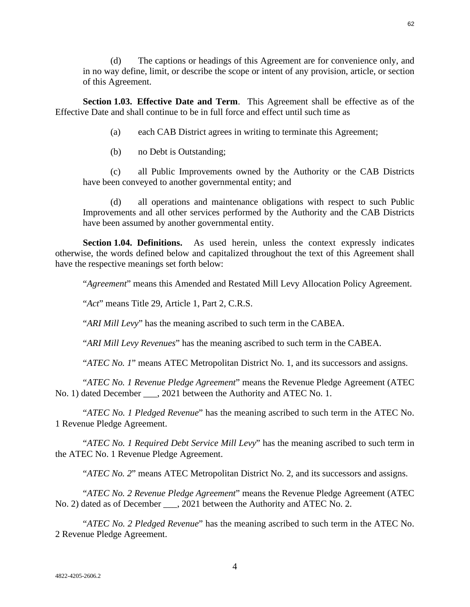(d) The captions or headings of this Agreement are for convenience only, and

in no way define, limit, or describe the scope or intent of any provision, article, or section of this Agreement.

**Section 1.03. Effective Date and Term**. This Agreement shall be effective as of the Effective Date and shall continue to be in full force and effect until such time as

- (a) each CAB District agrees in writing to terminate this Agreement;
- (b) no Debt is Outstanding;

(c) all Public Improvements owned by the Authority or the CAB Districts have been conveyed to another governmental entity; and

(d) all operations and maintenance obligations with respect to such Public Improvements and all other services performed by the Authority and the CAB Districts have been assumed by another governmental entity.

**Section 1.04. Definitions.** As used herein, unless the context expressly indicates otherwise, the words defined below and capitalized throughout the text of this Agreement shall have the respective meanings set forth below:

"*Agreement*" means this Amended and Restated Mill Levy Allocation Policy Agreement.

"*Act*" means Title 29, Article 1, Part 2, C.R.S.

"*ARI Mill Levy*" has the meaning ascribed to such term in the CABEA.

"*ARI Mill Levy Revenues*" has the meaning ascribed to such term in the CABEA.

"*ATEC No. 1*" means ATEC Metropolitan District No. 1, and its successors and assigns.

"*ATEC No. 1 Revenue Pledge Agreement*" means the Revenue Pledge Agreement (ATEC No. 1) dated December . 2021 between the Authority and ATEC No. 1.

"*ATEC No. 1 Pledged Revenue*" has the meaning ascribed to such term in the ATEC No. 1 Revenue Pledge Agreement.

"*ATEC No. 1 Required Debt Service Mill Levy*" has the meaning ascribed to such term in the ATEC No. 1 Revenue Pledge Agreement.

"*ATEC No. 2*" means ATEC Metropolitan District No. 2, and its successors and assigns.

"*ATEC No. 2 Revenue Pledge Agreement*" means the Revenue Pledge Agreement (ATEC No. 2) dated as of December \_\_\_, 2021 between the Authority and ATEC No. 2.

"*ATEC No. 2 Pledged Revenue*" has the meaning ascribed to such term in the ATEC No. 2 Revenue Pledge Agreement.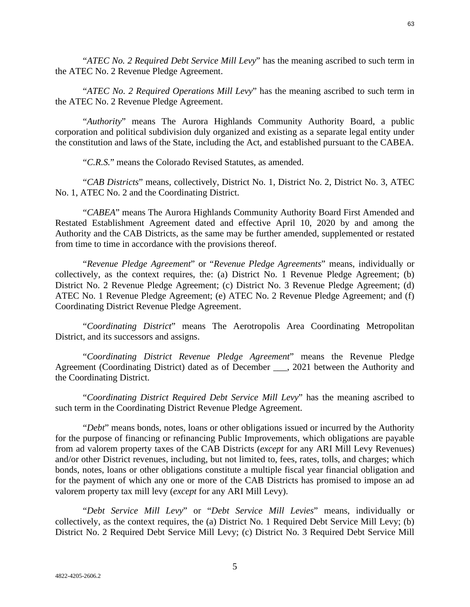"*ATEC No. 2 Required Debt Service Mill Levy*" has the meaning ascribed to such term in the ATEC No. 2 Revenue Pledge Agreement.

"*ATEC No. 2 Required Operations Mill Levy*" has the meaning ascribed to such term in the ATEC No. 2 Revenue Pledge Agreement.

"*Authority*" means The Aurora Highlands Community Authority Board, a public corporation and political subdivision duly organized and existing as a separate legal entity under the constitution and laws of the State, including the Act, and established pursuant to the CABEA.

"*C.R.S.*" means the Colorado Revised Statutes, as amended.

"*CAB Districts*" means, collectively, District No. 1, District No. 2, District No. 3, ATEC No. 1, ATEC No. 2 and the Coordinating District.

"*CABEA*" means The Aurora Highlands Community Authority Board First Amended and Restated Establishment Agreement dated and effective April 10, 2020 by and among the Authority and the CAB Districts, as the same may be further amended, supplemented or restated from time to time in accordance with the provisions thereof.

"*Revenue Pledge Agreement*" or "*Revenue Pledge Agreements*" means, individually or collectively, as the context requires, the: (a) District No. 1 Revenue Pledge Agreement; (b) District No. 2 Revenue Pledge Agreement; (c) District No. 3 Revenue Pledge Agreement; (d) ATEC No. 1 Revenue Pledge Agreement; (e) ATEC No. 2 Revenue Pledge Agreement; and (f) Coordinating District Revenue Pledge Agreement.

"*Coordinating District*" means The Aerotropolis Area Coordinating Metropolitan District, and its successors and assigns.

"*Coordinating District Revenue Pledge Agreement*" means the Revenue Pledge Agreement (Coordinating District) dated as of December \_\_\_, 2021 between the Authority and the Coordinating District.

"*Coordinating District Required Debt Service Mill Levy*" has the meaning ascribed to such term in the Coordinating District Revenue Pledge Agreement.

"*Debt*" means bonds, notes, loans or other obligations issued or incurred by the Authority for the purpose of financing or refinancing Public Improvements, which obligations are payable from ad valorem property taxes of the CAB Districts (*except* for any ARI Mill Levy Revenues) and/or other District revenues, including, but not limited to, fees, rates, tolls, and charges; which bonds, notes, loans or other obligations constitute a multiple fiscal year financial obligation and for the payment of which any one or more of the CAB Districts has promised to impose an ad valorem property tax mill levy (*except* for any ARI Mill Levy).

"*Debt Service Mill Levy*" or "*Debt Service Mill Levies*" means, individually or collectively, as the context requires, the (a) District No. 1 Required Debt Service Mill Levy; (b) District No. 2 Required Debt Service Mill Levy; (c) District No. 3 Required Debt Service Mill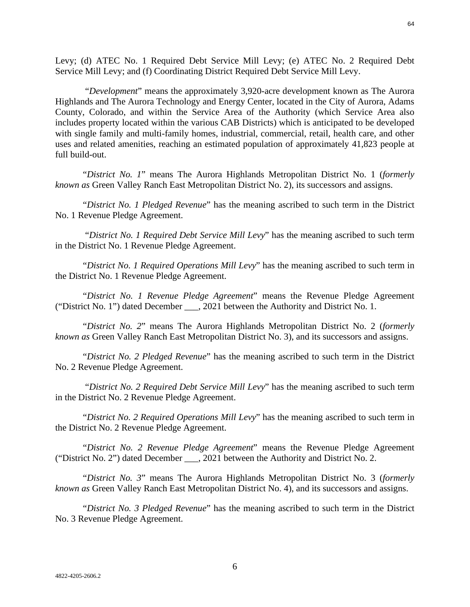Levy; (d) ATEC No. 1 Required Debt Service Mill Levy; (e) ATEC No. 2 Required Debt Service Mill Levy; and (f) Coordinating District Required Debt Service Mill Levy.

 "*Development*" means the approximately 3,920-acre development known as The Aurora Highlands and The Aurora Technology and Energy Center, located in the City of Aurora, Adams County, Colorado, and within the Service Area of the Authority (which Service Area also includes property located within the various CAB Districts) which is anticipated to be developed with single family and multi-family homes, industrial, commercial, retail, health care, and other uses and related amenities, reaching an estimated population of approximately 41,823 people at full build-out.

"*District No. 1*" means The Aurora Highlands Metropolitan District No. 1 (*formerly known as* Green Valley Ranch East Metropolitan District No. 2), its successors and assigns.

"*District No. 1 Pledged Revenue*" has the meaning ascribed to such term in the District No. 1 Revenue Pledge Agreement.

 "*District No. 1 Required Debt Service Mill Levy*" has the meaning ascribed to such term in the District No. 1 Revenue Pledge Agreement.

"*District No. 1 Required Operations Mill Levy*" has the meaning ascribed to such term in the District No. 1 Revenue Pledge Agreement.

"*District No. 1 Revenue Pledge Agreement*" means the Revenue Pledge Agreement ("District No. 1") dated December \_\_\_, 2021 between the Authority and District No. 1.

"*District No. 2*" means The Aurora Highlands Metropolitan District No. 2 (*formerly known as* Green Valley Ranch East Metropolitan District No. 3), and its successors and assigns.

"*District No. 2 Pledged Revenue*" has the meaning ascribed to such term in the District No. 2 Revenue Pledge Agreement.

 "*District No. 2 Required Debt Service Mill Levy*" has the meaning ascribed to such term in the District No. 2 Revenue Pledge Agreement.

"*District No. 2 Required Operations Mill Levy*" has the meaning ascribed to such term in the District No. 2 Revenue Pledge Agreement.

"*District No. 2 Revenue Pledge Agreement*" means the Revenue Pledge Agreement ("District No. 2") dated December \_\_\_, 2021 between the Authority and District No. 2.

"*District No. 3*" means The Aurora Highlands Metropolitan District No. 3 (*formerly known as* Green Valley Ranch East Metropolitan District No. 4), and its successors and assigns.

"*District No. 3 Pledged Revenue*" has the meaning ascribed to such term in the District No. 3 Revenue Pledge Agreement.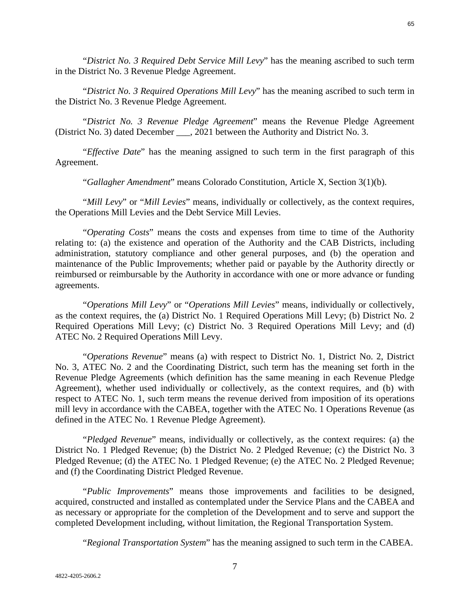65

"*District No. 3 Required Debt Service Mill Levy*" has the meaning ascribed to such term in the District No. 3 Revenue Pledge Agreement.

"*District No. 3 Required Operations Mill Levy*" has the meaning ascribed to such term in the District No. 3 Revenue Pledge Agreement.

"*District No. 3 Revenue Pledge Agreement*" means the Revenue Pledge Agreement (District No. 3) dated December \_\_\_, 2021 between the Authority and District No. 3.

"*Effective Date*" has the meaning assigned to such term in the first paragraph of this Agreement.

"*Gallagher Amendment*" means Colorado Constitution, Article X, Section 3(1)(b).

"*Mill Levy*" or "*Mill Levies*" means, individually or collectively, as the context requires, the Operations Mill Levies and the Debt Service Mill Levies.

"*Operating Costs*" means the costs and expenses from time to time of the Authority relating to: (a) the existence and operation of the Authority and the CAB Districts, including administration, statutory compliance and other general purposes, and (b) the operation and maintenance of the Public Improvements; whether paid or payable by the Authority directly or reimbursed or reimbursable by the Authority in accordance with one or more advance or funding agreements.

"*Operations Mill Levy*" or "*Operations Mill Levies*" means, individually or collectively, as the context requires, the (a) District No. 1 Required Operations Mill Levy; (b) District No. 2 Required Operations Mill Levy; (c) District No. 3 Required Operations Mill Levy; and (d) ATEC No. 2 Required Operations Mill Levy.

"*Operations Revenue*" means (a) with respect to District No. 1, District No. 2, District No. 3, ATEC No. 2 and the Coordinating District, such term has the meaning set forth in the Revenue Pledge Agreements (which definition has the same meaning in each Revenue Pledge Agreement), whether used individually or collectively, as the context requires, and (b) with respect to ATEC No. 1, such term means the revenue derived from imposition of its operations mill levy in accordance with the CABEA, together with the ATEC No. 1 Operations Revenue (as defined in the ATEC No. 1 Revenue Pledge Agreement).

"*Pledged Revenue*" means, individually or collectively, as the context requires: (a) the District No. 1 Pledged Revenue; (b) the District No. 2 Pledged Revenue; (c) the District No. 3 Pledged Revenue; (d) the ATEC No. 1 Pledged Revenue; (e) the ATEC No. 2 Pledged Revenue; and (f) the Coordinating District Pledged Revenue.

"*Public Improvements*" means those improvements and facilities to be designed, acquired, constructed and installed as contemplated under the Service Plans and the CABEA and as necessary or appropriate for the completion of the Development and to serve and support the completed Development including, without limitation, the Regional Transportation System.

"*Regional Transportation System*" has the meaning assigned to such term in the CABEA.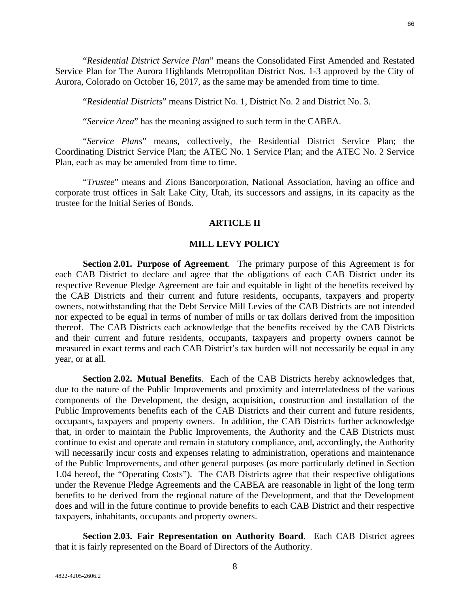"*Residential District Service Plan*" means the Consolidated First Amended and Restated Service Plan for The Aurora Highlands Metropolitan District Nos. 1-3 approved by the City of Aurora, Colorado on October 16, 2017, as the same may be amended from time to time.

"*Residential Districts*" means District No. 1, District No. 2 and District No. 3.

"*Service Area*" has the meaning assigned to such term in the CABEA.

"*Service Plans*" means, collectively, the Residential District Service Plan; the Coordinating District Service Plan; the ATEC No. 1 Service Plan; and the ATEC No. 2 Service Plan, each as may be amended from time to time.

"*Trustee*" means and Zions Bancorporation, National Association, having an office and corporate trust offices in Salt Lake City, Utah, its successors and assigns, in its capacity as the trustee for the Initial Series of Bonds.

### **ARTICLE II**

### **MILL LEVY POLICY**

**Section 2.01. Purpose of Agreement**. The primary purpose of this Agreement is for each CAB District to declare and agree that the obligations of each CAB District under its respective Revenue Pledge Agreement are fair and equitable in light of the benefits received by the CAB Districts and their current and future residents, occupants, taxpayers and property owners, notwithstanding that the Debt Service Mill Levies of the CAB Districts are not intended nor expected to be equal in terms of number of mills or tax dollars derived from the imposition thereof. The CAB Districts each acknowledge that the benefits received by the CAB Districts and their current and future residents, occupants, taxpayers and property owners cannot be measured in exact terms and each CAB District's tax burden will not necessarily be equal in any year, or at all.

**Section 2.02. Mutual Benefits**. Each of the CAB Districts hereby acknowledges that, due to the nature of the Public Improvements and proximity and interrelatedness of the various components of the Development, the design, acquisition, construction and installation of the Public Improvements benefits each of the CAB Districts and their current and future residents, occupants, taxpayers and property owners. In addition, the CAB Districts further acknowledge that, in order to maintain the Public Improvements, the Authority and the CAB Districts must continue to exist and operate and remain in statutory compliance, and, accordingly, the Authority will necessarily incur costs and expenses relating to administration, operations and maintenance of the Public Improvements, and other general purposes (as more particularly defined in Section 1.04 hereof, the "Operating Costs"). The CAB Districts agree that their respective obligations under the Revenue Pledge Agreements and the CABEA are reasonable in light of the long term benefits to be derived from the regional nature of the Development, and that the Development does and will in the future continue to provide benefits to each CAB District and their respective taxpayers, inhabitants, occupants and property owners.

**Section 2.03. Fair Representation on Authority Board**. Each CAB District agrees that it is fairly represented on the Board of Directors of the Authority.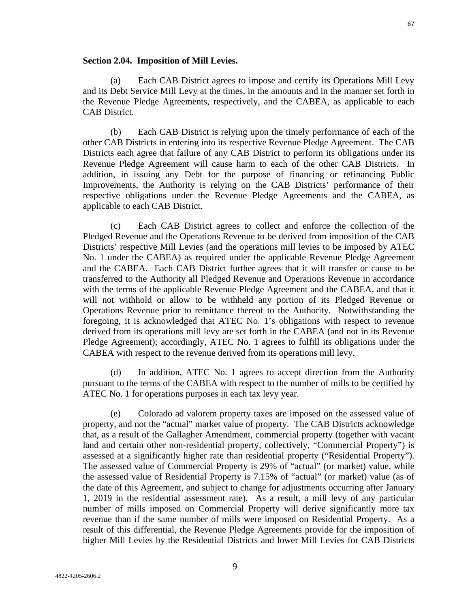#### **Section 2.04. Imposition of Mill Levies.**

(a) Each CAB District agrees to impose and certify its Operations Mill Levy and its Debt Service Mill Levy at the times, in the amounts and in the manner set forth in the Revenue Pledge Agreements, respectively, and the CABEA, as applicable to each CAB District.

(b) Each CAB District is relying upon the timely performance of each of the other CAB Districts in entering into its respective Revenue Pledge Agreement. The CAB Districts each agree that failure of any CAB District to perform its obligations under its Revenue Pledge Agreement will cause harm to each of the other CAB Districts. In addition, in issuing any Debt for the purpose of financing or refinancing Public Improvements, the Authority is relying on the CAB Districts' performance of their respective obligations under the Revenue Pledge Agreements and the CABEA, as applicable to each CAB District.

(c) Each CAB District agrees to collect and enforce the collection of the Pledged Revenue and the Operations Revenue to be derived from imposition of the CAB Districts' respective Mill Levies (and the operations mill levies to be imposed by ATEC No. 1 under the CABEA) as required under the applicable Revenue Pledge Agreement and the CABEA. Each CAB District further agrees that it will transfer or cause to be transferred to the Authority all Pledged Revenue and Operations Revenue in accordance with the terms of the applicable Revenue Pledge Agreement and the CABEA, and that it will not withhold or allow to be withheld any portion of its Pledged Revenue or Operations Revenue prior to remittance thereof to the Authority. Notwithstanding the foregoing, it is acknowledged that ATEC No. 1's obligations with respect to revenue derived from its operations mill levy are set forth in the CABEA (and not in its Revenue Pledge Agreement); accordingly, ATEC No. 1 agrees to fulfill its obligations under the CABEA with respect to the revenue derived from its operations mill levy.

(d) In addition, ATEC No. 1 agrees to accept direction from the Authority pursuant to the terms of the CABEA with respect to the number of mills to be certified by ATEC No. 1 for operations purposes in each tax levy year.

(e) Colorado ad valorem property taxes are imposed on the assessed value of property, and not the "actual" market value of property. The CAB Districts acknowledge that, as a result of the Gallagher Amendment, commercial property (together with vacant land and certain other non-residential property, collectively, "Commercial Property") is assessed at a significantly higher rate than residential property ("Residential Property"). The assessed value of Commercial Property is 29% of "actual" (or market) value, while the assessed value of Residential Property is 7.15% of "actual" (or market) value (as of the date of this Agreement, and subject to change for adjustments occurring after January 1, 2019 in the residential assessment rate). As a result, a mill levy of any particular number of mills imposed on Commercial Property will derive significantly more tax revenue than if the same number of mills were imposed on Residential Property. As a result of this differential, the Revenue Pledge Agreements provide for the imposition of higher Mill Levies by the Residential Districts and lower Mill Levies for CAB Districts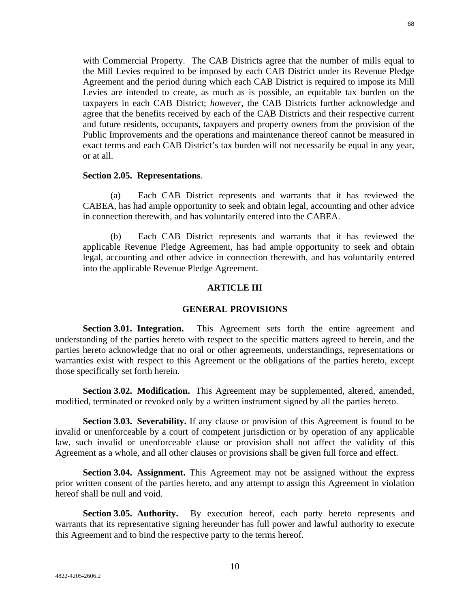with Commercial Property. The CAB Districts agree that the number of mills equal to the Mill Levies required to be imposed by each CAB District under its Revenue Pledge Agreement and the period during which each CAB District is required to impose its Mill Levies are intended to create, as much as is possible, an equitable tax burden on the taxpayers in each CAB District; *however,* the CAB Districts further acknowledge and agree that the benefits received by each of the CAB Districts and their respective current and future residents, occupants, taxpayers and property owners from the provision of the Public Improvements and the operations and maintenance thereof cannot be measured in exact terms and each CAB District's tax burden will not necessarily be equal in any year, or at all.

#### **Section 2.05. Representations**.

(a) Each CAB District represents and warrants that it has reviewed the CABEA, has had ample opportunity to seek and obtain legal, accounting and other advice in connection therewith, and has voluntarily entered into the CABEA.

(b) Each CAB District represents and warrants that it has reviewed the applicable Revenue Pledge Agreement, has had ample opportunity to seek and obtain legal, accounting and other advice in connection therewith, and has voluntarily entered into the applicable Revenue Pledge Agreement.

### **ARTICLE III**

### **GENERAL PROVISIONS**

**Section 3.01. Integration.** This Agreement sets forth the entire agreement and understanding of the parties hereto with respect to the specific matters agreed to herein, and the parties hereto acknowledge that no oral or other agreements, understandings, representations or warranties exist with respect to this Agreement or the obligations of the parties hereto, except those specifically set forth herein.

**Section 3.02. Modification.** This Agreement may be supplemented, altered, amended, modified, terminated or revoked only by a written instrument signed by all the parties hereto.

**Section 3.03. Severability.** If any clause or provision of this Agreement is found to be invalid or unenforceable by a court of competent jurisdiction or by operation of any applicable law, such invalid or unenforceable clause or provision shall not affect the validity of this Agreement as a whole, and all other clauses or provisions shall be given full force and effect.

**Section 3.04. Assignment.** This Agreement may not be assigned without the express prior written consent of the parties hereto, and any attempt to assign this Agreement in violation hereof shall be null and void.

**Section 3.05. Authority.** By execution hereof, each party hereto represents and warrants that its representative signing hereunder has full power and lawful authority to execute this Agreement and to bind the respective party to the terms hereof.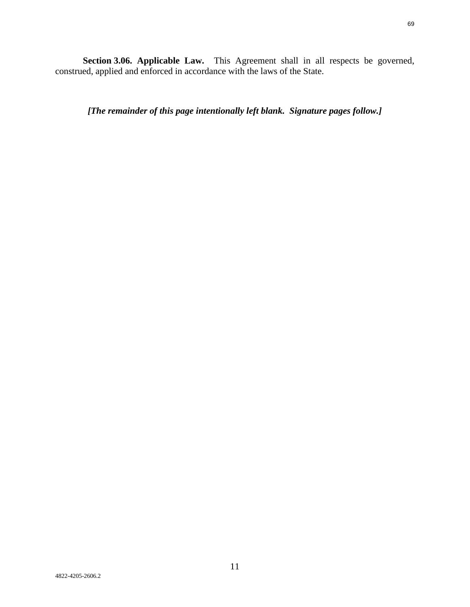**Section 3.06. Applicable Law.** This Agreement shall in all respects be governed, construed, applied and enforced in accordance with the laws of the State.

*[The remainder of this page intentionally left blank. Signature pages follow.]*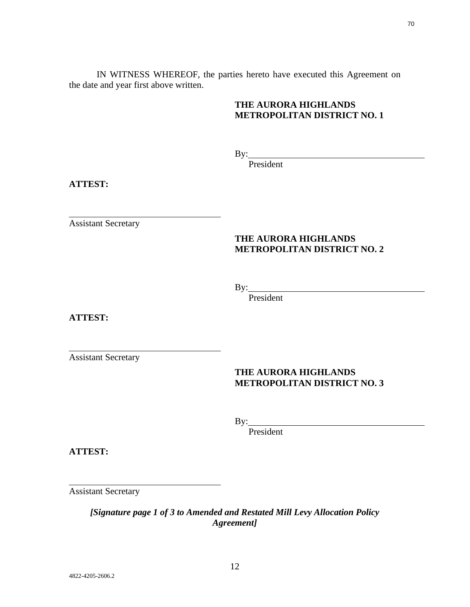IN WITNESS WHEREOF, the parties hereto have executed this Agreement on the date and year first above written.

# **THE AURORA HIGHLANDS METROPOLITAN DISTRICT NO. 1**

By:

President

**ATTEST:**

Assistant Secretary

# **THE AURORA HIGHLANDS METROPOLITAN DISTRICT NO. 2**

 $By:$ 

President

**ATTEST:**

Assistant Secretary

# **THE AURORA HIGHLANDS METROPOLITAN DISTRICT NO. 3**

By:

President

**ATTEST:**

Assistant Secretary

*[Signature page 1 of 3 to Amended and Restated Mill Levy Allocation Policy Agreement]*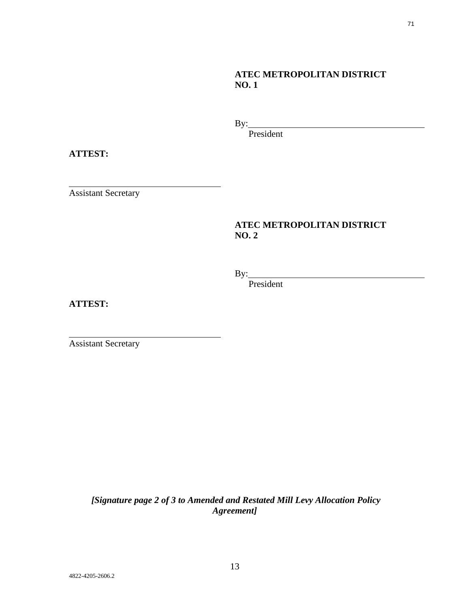# **ATEC METROPOLITAN DISTRICT NO. 1**

By: <u>with the set of the set of the set of the set of the set of the set of the set of the set of the set of the set of the set of the set of the set of the set of the set of the set of the set of the set of the set of the</u>

President

**ATTEST:**

Assistant Secretary

# **ATEC METROPOLITAN DISTRICT NO. 2**

By:

President

**ATTEST:**

Assistant Secretary

 *[Signature page 2 of 3 to Amended and Restated Mill Levy Allocation Policy Agreement]*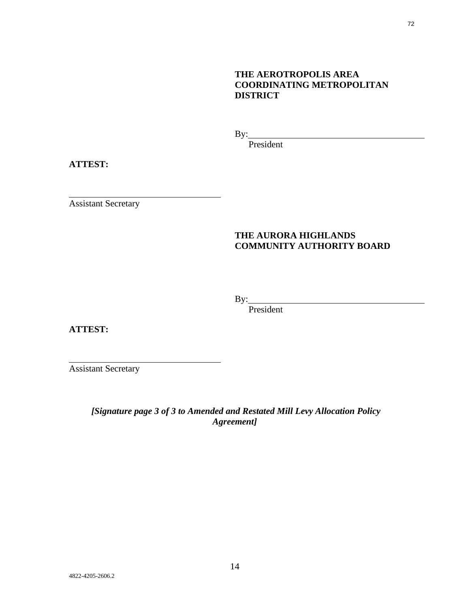# **THE AEROTROPOLIS AREA COORDINATING METROPOLITAN DISTRICT**

By:

President

**ATTEST:**

Assistant Secretary

# **THE AURORA HIGHLANDS COMMUNITY AUTHORITY BOARD**

 $By:$ 

President

**ATTEST:**

Assistant Secretary

 *[Signature page 3 of 3 to Amended and Restated Mill Levy Allocation Policy Agreement]*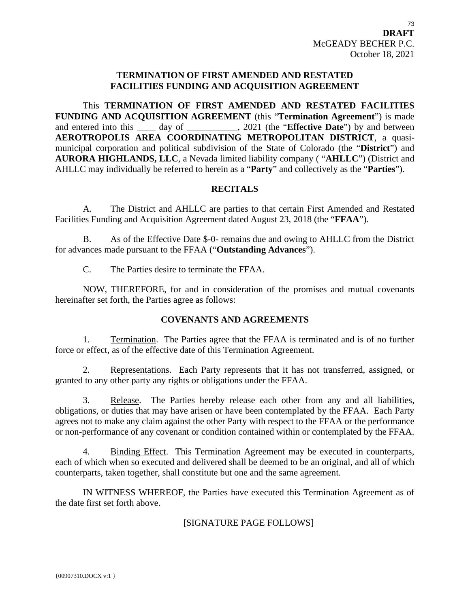## **TERMINATION OF FIRST AMENDED AND RESTATED FACILITIES FUNDING AND ACQUISITION AGREEMENT**

This **TERMINATION OF FIRST AMENDED AND RESTATED FACILITIES FUNDING AND ACQUISITION AGREEMENT** (this "**Termination Agreement**") is made and entered into this \_\_\_\_ day of \_\_\_\_\_\_\_\_\_\_, 2021 (the "**Effective Date**") by and between **AEROTROPOLIS AREA COORDINATING METROPOLITAN DISTRICT**, a quasimunicipal corporation and political subdivision of the State of Colorado (the "**District**") and **AURORA HIGHLANDS, LLC**, a Nevada limited liability company ( "**AHLLC**") (District and AHLLC may individually be referred to herein as a "**Party**" and collectively as the "**Parties**").

## **RECITALS**

A. The District and AHLLC are parties to that certain First Amended and Restated Facilities Funding and Acquisition Agreement dated August 23, 2018 (the "**FFAA**").

B. As of the Effective Date \$-0- remains due and owing to AHLLC from the District for advances made pursuant to the FFAA ("**Outstanding Advances**").

C. The Parties desire to terminate the FFAA.

NOW, THEREFORE, for and in consideration of the promises and mutual covenants hereinafter set forth, the Parties agree as follows:

## **COVENANTS AND AGREEMENTS**

1. Termination. The Parties agree that the FFAA is terminated and is of no further force or effect, as of the effective date of this Termination Agreement.

2. Representations. Each Party represents that it has not transferred, assigned, or granted to any other party any rights or obligations under the FFAA.

3. Release. The Parties hereby release each other from any and all liabilities, obligations, or duties that may have arisen or have been contemplated by the FFAA. Each Party agrees not to make any claim against the other Party with respect to the FFAA or the performance or non-performance of any covenant or condition contained within or contemplated by the FFAA.

4. Binding Effect. This Termination Agreement may be executed in counterparts, each of which when so executed and delivered shall be deemed to be an original, and all of which counterparts, taken together, shall constitute but one and the same agreement.

IN WITNESS WHEREOF, the Parties have executed this Termination Agreement as of the date first set forth above.

## [SIGNATURE PAGE FOLLOWS]